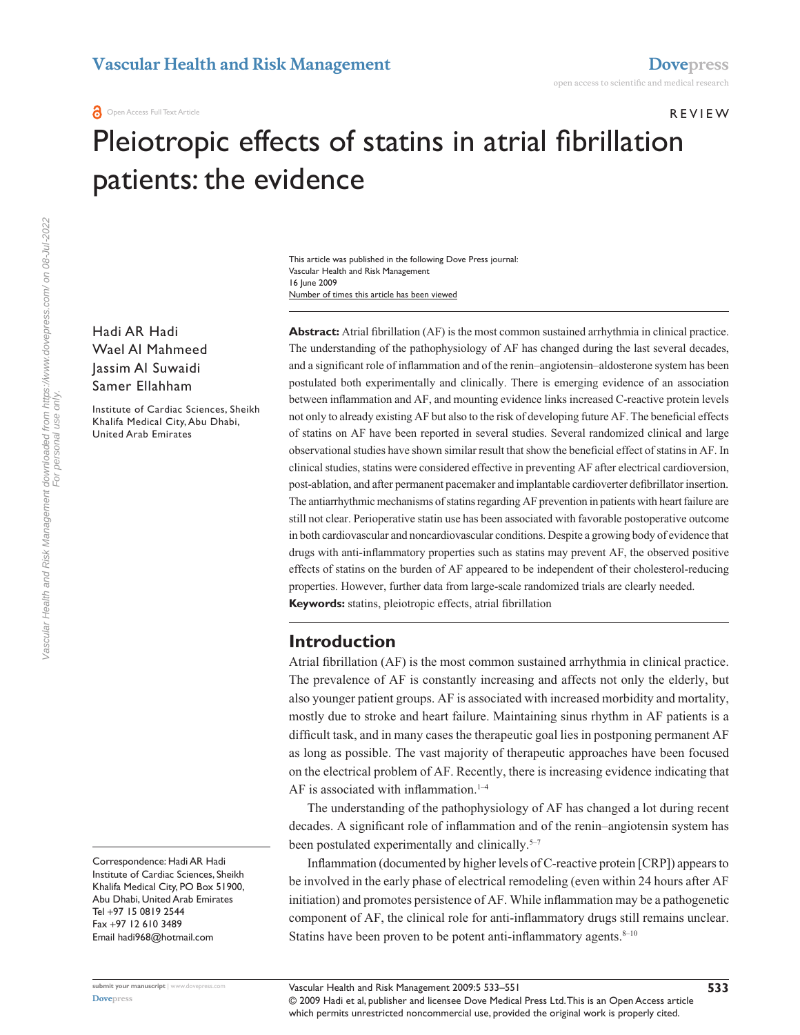#### r e v i e w

# Pleiotropic effects of statins in atrial fibrillation patients: the evidence

Number of times this article has been viewed This article was published in the following Dove Press journal: Vascular Health and Risk Management 16 June 2009

Hadi AR Hadi Wael Al Mahmeed Jassim Al Suwaidi Samer Ellahham

Institute of Cardiac Sciences, Sheikh Khalifa Medical City, Abu Dhabi, United Arab Emirates

> observational studies have shown similar result that show the beneficial effect of statins in AF. In clinical studies, statins were considered effective in preventing AF after electrical cardioversion, post-ablation, and after permanent pacemaker and implantable cardioverter defibrillator insertion. The antiarrhythmic mechanisms of statins regarding AF prevention in patients with heart failure are still not clear. Perioperative statin use has been associated with favorable postoperative outcome in both cardiovascular and noncardiovascular conditions. Despite a growing body of evidence that drugs with anti-inflammatory properties such as statins may prevent AF, the observed positive effects of statins on the burden of AF appeared to be independent of their cholesterol-reducing properties. However, further data from large-scale randomized trials are clearly needed. **Keywords:** statins, pleiotropic effects, atrial fibrillation **Introduction** Atrial fibrillation (AF) is the most common sustained arrhythmia in clinical practice. The prevalence of AF is constantly increasing and affects not only the elderly, but also younger patient groups. AF is associated with increased morbidity and mortality,

**Abstract:** Atrial fibrillation (AF) is the most common sustained arrhythmia in clinical practice. The understanding of the pathophysiology of AF has changed during the last several decades, and a significant role of inflammation and of the renin–angiotensin–aldosterone system has been postulated both experimentally and clinically. There is emerging evidence of an association between inflammation and AF, and mounting evidence links increased C-reactive protein levels not only to already existing AF but also to the risk of developing future AF. The beneficial effects of statins on AF have been reported in several studies. Several randomized clinical and large

mostly due to stroke and heart failure. Maintaining sinus rhythm in AF patients is a difficult task, and in many cases the therapeutic goal lies in postponing permanent AF as long as possible. The vast majority of therapeutic approaches have been focused on the electrical problem of AF. Recently, there is increasing evidence indicating that AF is associated with inflammation.<sup>1-4</sup>

The understanding of the pathophysiology of AF has changed a lot during recent decades. A significant role of inflammation and of the renin–angiotensin system has been postulated experimentally and clinically.<sup>5–7</sup>

Inflammation (documented by higher levels of C-reactive protein [CRP]) appears to be involved in the early phase of electrical remodeling (even within 24 hours after AF initiation) and promotes persistence of AF. While inflammation may be a pathogenetic component of AF, the clinical role for anti-inflammatory drugs still remains unclear. Statins have been proven to be potent anti-inflammatory agents. $8-10$ 

Correspondence: Hadi AR Hadi Institute of Cardiac Sciences, Sheikh Khalifa Medical City, PO Box 51900, Abu Dhabi, United Arab Emirates Tel +97 15 0819 2544 Fax +97 12 610 3489 Email hadi968@hotmail.com

**submit your manuscript** | <www.dovepress.com>

**[Dovepress](www.dovepress.com)**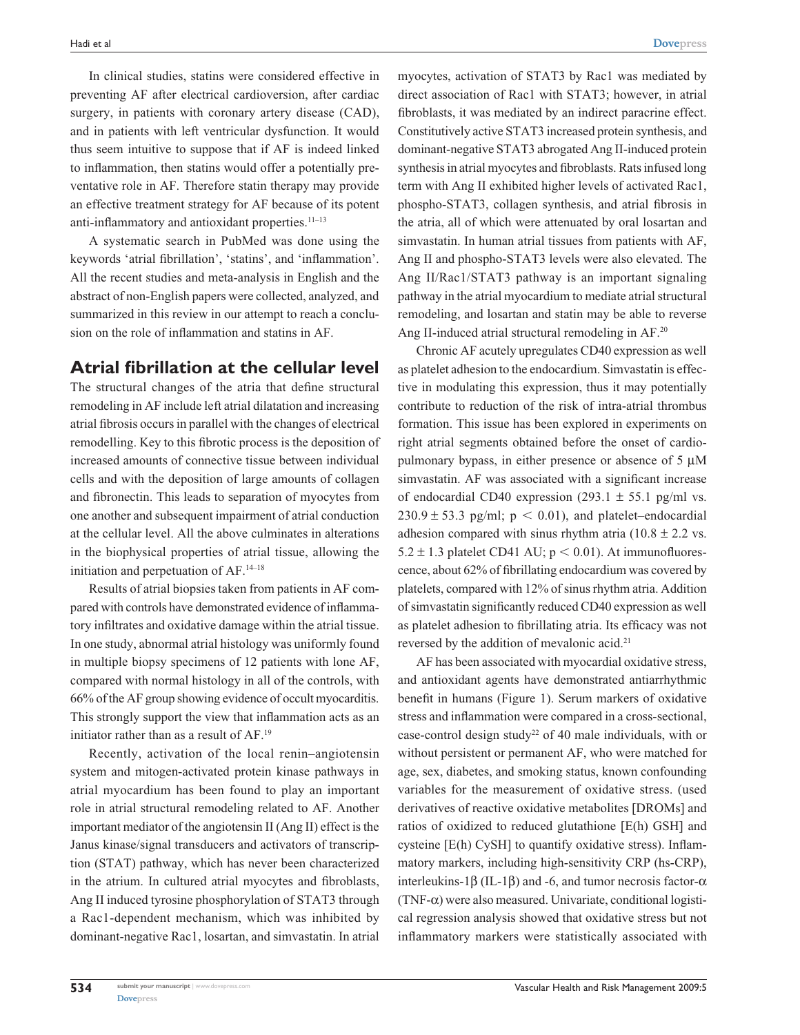In clinical studies, statins were considered effective in preventing AF after electrical cardioversion, after cardiac surgery, in patients with coronary artery disease (CAD), and in patients with left ventricular dysfunction. It would thus seem intuitive to suppose that if AF is indeed linked to inflammation, then statins would offer a potentially preventative role in AF. Therefore statin therapy may provide an effective treatment strategy for AF because of its potent anti-inflammatory and antioxidant properties.<sup>11-13</sup>

A systematic search in PubMed was done using the keywords 'atrial fibrillation', 'statins', and 'inflammation'. All the recent studies and meta-analysis in English and the abstract of non-English papers were collected, analyzed, and summarized in this review in our attempt to reach a conclusion on the role of inflammation and statins in AF.

#### **Atrial fibrillation at the cellular level**

The structural changes of the atria that define structural remodeling in AF include left atrial dilatation and increasing atrial fibrosis occurs in parallel with the changes of electrical remodelling. Key to this fibrotic process is the deposition of increased amounts of connective tissue between individual cells and with the deposition of large amounts of collagen and fibronectin. This leads to separation of myocytes from one another and subsequent impairment of atrial conduction at the cellular level. All the above culminates in alterations in the biophysical properties of atrial tissue, allowing the initiation and perpetuation of AF.14–18

Results of atrial biopsies taken from patients in AF compared with controls have demonstrated evidence of inflammatory infiltrates and oxidative damage within the atrial tissue. In one study, abnormal atrial histology was uniformly found in multiple biopsy specimens of 12 patients with lone AF, compared with normal histology in all of the controls, with 66% of the AF group showing evidence of occult myocarditis. This strongly support the view that inflammation acts as an initiator rather than as a result of AF.<sup>19</sup>

Recently, activation of the local renin–angiotensin system and mitogen-activated protein kinase pathways in atrial myocardium has been found to play an important role in atrial structural remodeling related to AF. Another important mediator of the angiotensin II (Ang II) effect is the Janus kinase/signal transducers and activators of transcription (STAT) pathway, which has never been characterized in the atrium. In cultured atrial myocytes and fibroblasts, Ang II induced tyrosine phosphorylation of STAT3 through a Rac1-dependent mechanism, which was inhibited by dominant-negative Rac1, losartan, and simvastatin. In atrial

myocytes, activation of STAT3 by Rac1 was mediated by direct association of Rac1 with STAT3; however, in atrial fibroblasts, it was mediated by an indirect paracrine effect. Constitutively active STAT3 increased protein synthesis, and dominant-negative STAT3 abrogated Ang II-induced protein synthesis in atrial myocytes and fibroblasts. Rats infused long term with Ang II exhibited higher levels of activated Rac1, phospho-STAT3, collagen synthesis, and atrial fibrosis in the atria, all of which were attenuated by oral losartan and simvastatin. In human atrial tissues from patients with AF, Ang II and phospho-STAT3 levels were also elevated. The Ang II/Rac1/STAT3 pathway is an important signaling pathway in the atrial myocardium to mediate atrial structural remodeling, and losartan and statin may be able to reverse Ang II-induced atrial structural remodeling in AF.<sup>20</sup>

Chronic AF acutely upregulates CD40 expression as well as platelet adhesion to the endocardium. Simvastatin is effective in modulating this expression, thus it may potentially contribute to reduction of the risk of intra-atrial thrombus formation. This issue has been explored in experiments on right atrial segments obtained before the onset of cardiopulmonary bypass, in either presence or absence of 5 µM simvastatin. AF was associated with a significant increase of endocardial CD40 expression (293.1  $\pm$  55.1 pg/ml vs.  $230.9 \pm 53.3$  pg/ml; p < 0.01), and platelet–endocardial adhesion compared with sinus rhythm atria (10.8  $\pm$  2.2 vs.  $5.2 \pm 1.3$  platelet CD41 AU; p < 0.01). At immunofluorescence, about 62% of fibrillating endocardium was covered by platelets, compared with 12% of sinus rhythm atria. Addition of simvastatin significantly reduced CD40 expression as well as platelet adhesion to fibrillating atria. Its efficacy was not reversed by the addition of mevalonic acid.21

AF has been associated with myocardial oxidative stress, and antioxidant agents have demonstrated antiarrhythmic benefit in humans (Figure 1). Serum markers of oxidative stress and inflammation were compared in a cross-sectional, case-control design study<sup>22</sup> of 40 male individuals, with or without persistent or permanent AF, who were matched for age, sex, diabetes, and smoking status, known confounding variables for the measurement of oxidative stress. (used derivatives of reactive oxidative metabolites [DROMs] and ratios of oxidized to reduced glutathione [E(h) GSH] and cysteine [E(h) CySH] to quantify oxidative stress). Inflammatory markers, including high-sensitivity CRP (hs-CRP), interleukins-1β (IL-1β) and -6, and tumor necrosis factor-α (TNF- $\alpha$ ) were also measured. Univariate, conditional logistical regression analysis showed that oxidative stress but not inflammatory markers were statistically associated with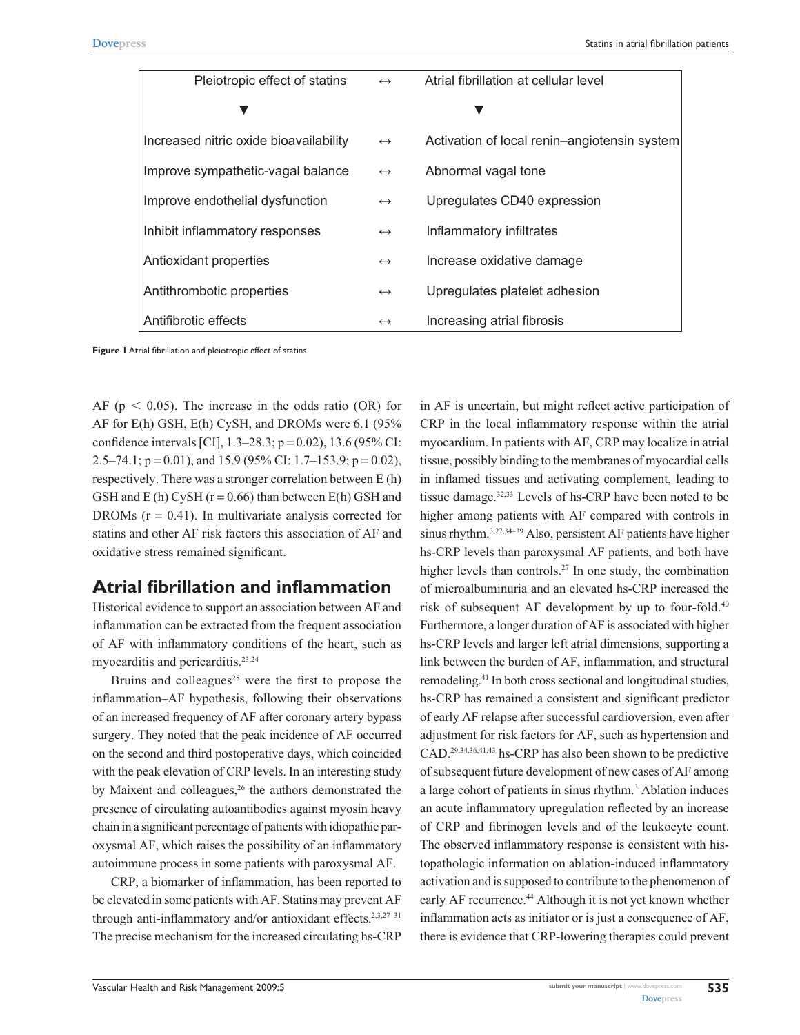| Pleiotropic effect of statins          | $\leftrightarrow$ | Atrial fibrillation at cellular level        |
|----------------------------------------|-------------------|----------------------------------------------|
|                                        |                   |                                              |
| Increased nitric oxide bioavailability | $\leftrightarrow$ | Activation of local renin-angiotensin system |
| Improve sympathetic-vagal balance      | $\leftrightarrow$ | Abnormal vagal tone                          |
| Improve endothelial dysfunction        | $\leftrightarrow$ | Upregulates CD40 expression                  |
| Inhibit inflammatory responses         | $\leftrightarrow$ | Inflammatory infiltrates                     |
| Antioxidant properties                 | $\leftrightarrow$ | Increase oxidative damage                    |
| Antithrombotic properties              | $\leftrightarrow$ | Upregulates platelet adhesion                |
| Antifibrotic effects                   | $\leftrightarrow$ | Increasing atrial fibrosis                   |

**Figure 1** Atrial fibrillation and pleiotropic effect of statins.

AF ( $p < 0.05$ ). The increase in the odds ratio (OR) for AF for E(h) GSH, E(h) CySH, and DROMs were 6.1 (95% confidence intervals [CI],  $1.3-28.3$ ;  $p = 0.02$ ),  $13.6$  (95% CI: 2.5–74.1;  $p = 0.01$ ), and 15.9 (95% CI: 1.7–153.9;  $p = 0.02$ ), respectively. There was a stronger correlation between E (h) GSH and  $E(h)$  CySH ( $r = 0.66$ ) than between  $E(h)$  GSH and DROMs  $(r = 0.41)$ . In multivariate analysis corrected for statins and other AF risk factors this association of AF and oxidative stress remained significant.

# **Atrial fibrillation and inflammation**

Historical evidence to support an association between AF and inflammation can be extracted from the frequent association of AF with inflammatory conditions of the heart, such as myocarditis and pericarditis.<sup>23,24</sup>

Bruins and colleagues<sup>25</sup> were the first to propose the inflammation–AF hypothesis, following their observations of an increased frequency of AF after coronary artery bypass surgery. They noted that the peak incidence of AF occurred on the second and third postoperative days, which coincided with the peak elevation of CRP levels. In an interesting study by Maixent and colleagues,<sup>26</sup> the authors demonstrated the presence of circulating autoantibodies against myosin heavy chain in a significant percentage of patients with idiopathic paroxysmal AF, which raises the possibility of an inflammatory autoimmune process in some patients with paroxysmal AF.

CRP, a biomarker of inflammation, has been reported to be elevated in some patients with AF. Statins may prevent AF through anti-inflammatory and/or antioxidant effects.<sup>2,3,27-31</sup> The precise mechanism for the increased circulating hs-CRP in AF is uncertain, but might reflect active participation of CRP in the local inflammatory response within the atrial myocardium. In patients with AF, CRP may localize in atrial tissue, possibly binding to the membranes of myocardial cells in inflamed tissues and activating complement, leading to tissue damage.32,33 Levels of hs-CRP have been noted to be higher among patients with AF compared with controls in sinus rhythm.<sup>3,27,34–39</sup> Also, persistent AF patients have higher hs-CRP levels than paroxysmal AF patients, and both have higher levels than controls.<sup>27</sup> In one study, the combination of microalbuminuria and an elevated hs-CRP increased the risk of subsequent AF development by up to four-fold.40 Furthermore, a longer duration of AF is associated with higher hs-CRP levels and larger left atrial dimensions, supporting a link between the burden of AF, inflammation, and structural remodeling.41 In both cross sectional and longitudinal studies, hs-CRP has remained a consistent and significant predictor of early AF relapse after successful cardioversion, even after adjustment for risk factors for AF, such as hypertension and CAD.29,34,36,41,43 hs-CRP has also been shown to be predictive of subsequent future development of new cases of AF among a large cohort of patients in sinus rhythm.<sup>3</sup> Ablation induces an acute inflammatory upregulation reflected by an increase of CRP and fibrinogen levels and of the leukocyte count. The observed inflammatory response is consistent with histopathologic information on ablation-induced inflammatory activation and is supposed to contribute to the phenomenon of early AF recurrence.<sup>44</sup> Although it is not yet known whether inflammation acts as initiator or is just a consequence of AF, there is evidence that CRP-lowering therapies could prevent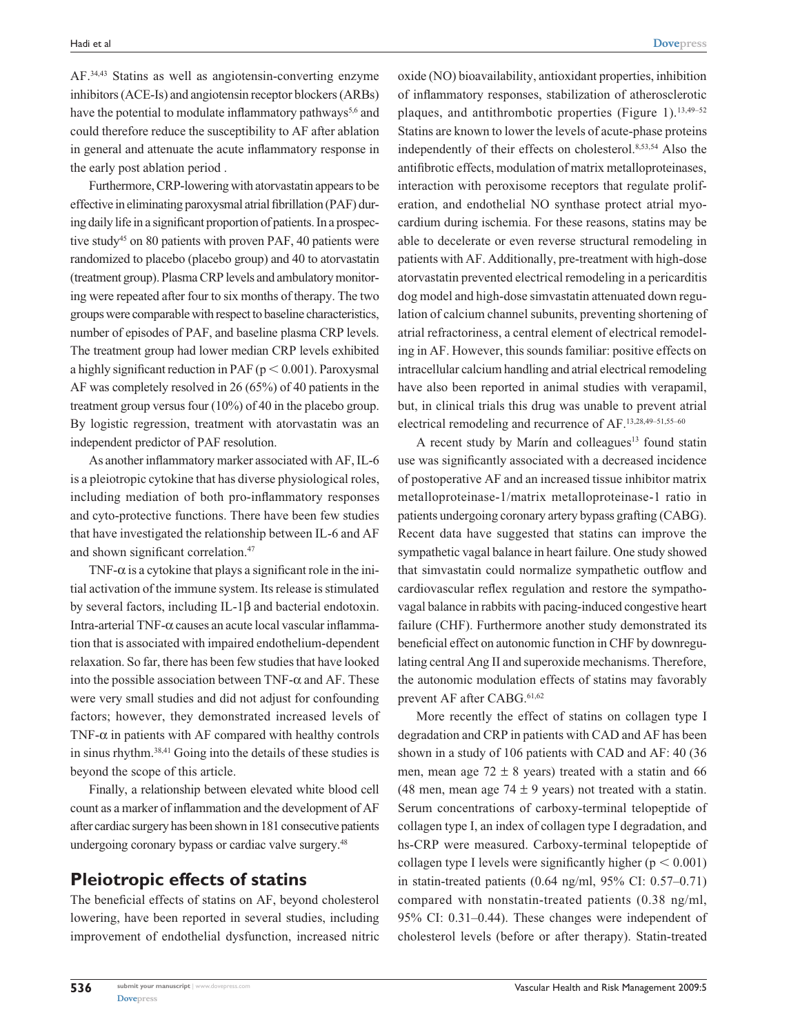AF.34,43 Statins as well as angiotensin-converting enzyme inhibitors (ACE-Is) and angiotensin receptor blockers (ARBs) have the potential to modulate inflammatory pathways<sup>5,6</sup> and could therefore reduce the susceptibility to AF after ablation in general and attenuate the acute inflammatory response in the early post ablation period .

Furthermore, CRP-lowering with atorvastatin appears to be effective in eliminating paroxysmal atrial fibrillation (PAF) during daily life in a significant proportion of patients. In a prospective study<sup>45</sup> on 80 patients with proven PAF, 40 patients were randomized to placebo (placebo group) and 40 to atorvastatin (treatment group). Plasma CRP levels and ambulatory monitoring were repeated after four to six months of therapy. The two groups were comparable with respect to baseline characteristics, number of episodes of PAF, and baseline plasma CRP levels. The treatment group had lower median CRP levels exhibited a highly significant reduction in PAF ( $p < 0.001$ ). Paroxysmal AF was completely resolved in 26 (65%) of 40 patients in the treatment group versus four (10%) of 40 in the placebo group. By logistic regression, treatment with atorvastatin was an independent predictor of PAF resolution.

As another inflammatory marker associated with AF, IL-6 is a pleiotropic cytokine that has diverse physiological roles, including mediation of both pro-inflammatory responses and cyto-protective functions. There have been few studies that have investigated the relationship between IL-6 and AF and shown significant correlation.47

TNF- $\alpha$  is a cytokine that plays a significant role in the initial activation of the immune system. Its release is stimulated by several factors, including IL-1β and bacterial endotoxin. Intra-arterial TNF-α causes an acute local vascular inflammation that is associated with impaired endothelium-dependent relaxation. So far, there has been few studies that have looked into the possible association between TNF- $\alpha$  and AF. These were very small studies and did not adjust for confounding factors; however, they demonstrated increased levels of TNF- $\alpha$  in patients with AF compared with healthy controls in sinus rhythm.<sup>38,41</sup> Going into the details of these studies is beyond the scope of this article.

Finally, a relationship between elevated white blood cell count as a marker of inflammation and the development of AF after cardiac surgery has been shown in 181 consecutive patients undergoing coronary bypass or cardiac valve surgery.48

#### **Pleiotropic effects of statins**

The beneficial effects of statins on AF, beyond cholesterol lowering, have been reported in several studies, including improvement of endothelial dysfunction, increased nitric oxide (NO) bioavailability, antioxidant properties, inhibition of inflammatory responses, stabilization of atherosclerotic plaques, and antithrombotic properties (Figure 1).<sup>13,49-52</sup> Statins are known to lower the levels of acute-phase proteins independently of their effects on cholesterol.8,53,54 Also the antifibrotic effects, modulation of matrix metalloproteinases, interaction with peroxisome receptors that regulate proliferation, and endothelial NO synthase protect atrial myocardium during ischemia. For these reasons, statins may be able to decelerate or even reverse structural remodeling in patients with AF. Additionally, pre-treatment with high-dose atorvastatin prevented electrical remodeling in a pericarditis dog model and high-dose simvastatin attenuated down regulation of calcium channel subunits, preventing shortening of atrial refractoriness, a central element of electrical remodeling in AF. However, this sounds familiar: positive effects on intracellular calcium handling and atrial electrical remodeling have also been reported in animal studies with verapamil, but, in clinical trials this drug was unable to prevent atrial electrical remodeling and recurrence of AF.13,28,49–51,55–60

A recent study by Marín and colleagues<sup>13</sup> found statin use was significantly associated with a decreased incidence of postoperative AF and an increased tissue inhibitor matrix metalloproteinase-1/matrix metalloproteinase-1 ratio in patients undergoing coronary artery bypass grafting (CABG). Recent data have suggested that statins can improve the sympathetic vagal balance in heart failure. One study showed that simvastatin could normalize sympathetic outflow and cardiovascular reflex regulation and restore the sympathovagal balance in rabbits with pacing-induced congestive heart failure (CHF). Furthermore another study demonstrated its beneficial effect on autonomic function in CHF by downregulating central Ang II and superoxide mechanisms. Therefore, the autonomic modulation effects of statins may favorably prevent AF after CABG.<sup>61,62</sup>

More recently the effect of statins on collagen type I degradation and CRP in patients with CAD and AF has been shown in a study of 106 patients with CAD and AF: 40 (36 men, mean age  $72 \pm 8$  years) treated with a statin and 66 (48 men, mean age  $74 \pm 9$  years) not treated with a statin. Serum concentrations of carboxy-terminal telopeptide of collagen type I, an index of collagen type I degradation, and hs-CRP were measured. Carboxy-terminal telopeptide of collagen type I levels were significantly higher ( $p < 0.001$ ) in statin-treated patients (0.64 ng/ml, 95% CI: 0.57–0.71) compared with nonstatin-treated patients (0.38 ng/ml, 95% CI: 0.31–0.44). These changes were independent of cholesterol levels (before or after therapy). Statin-treated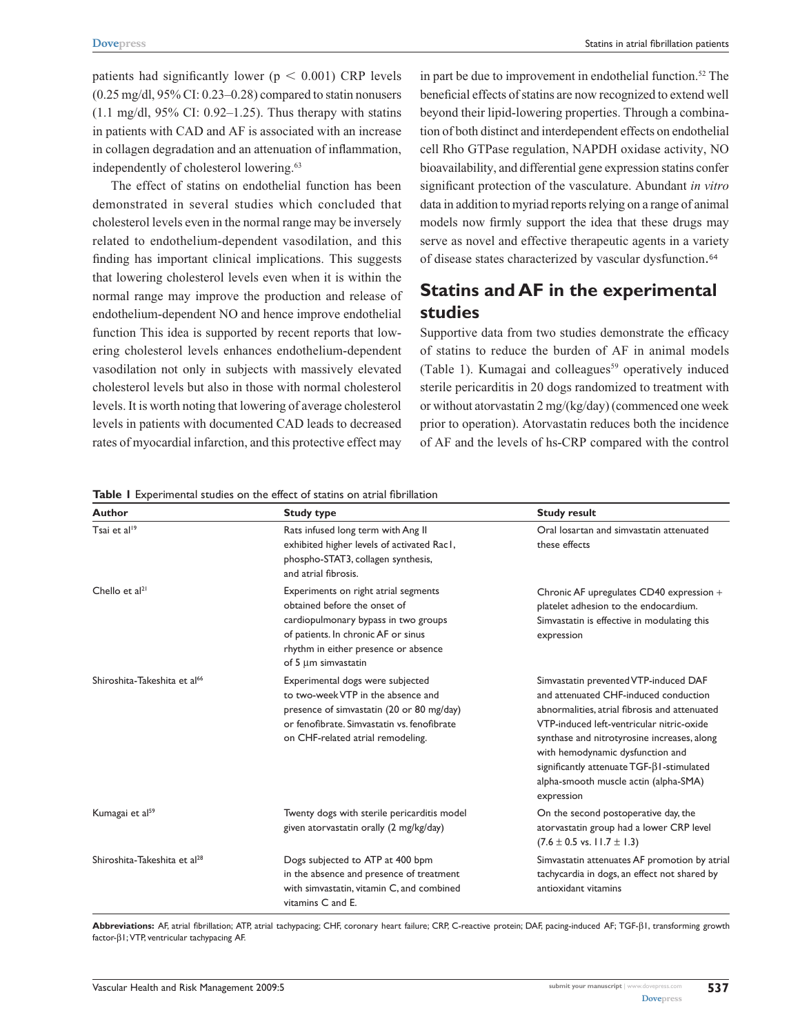patients had significantly lower ( $p < 0.001$ ) CRP levels (0.25 mg/dl, 95% CI: 0.23–0.28) compared to statin nonusers (1.1 mg/dl, 95% CI: 0.92–1.25). Thus therapy with statins in patients with CAD and AF is associated with an increase in collagen degradation and an attenuation of inflammation, independently of cholesterol lowering.<sup>63</sup>

The effect of statins on endothelial function has been demonstrated in several studies which concluded that cholesterol levels even in the normal range may be inversely related to endothelium-dependent vasodilation, and this finding has important clinical implications. This suggests that lowering cholesterol levels even when it is within the normal range may improve the production and release of endothelium-dependent NO and hence improve endothelial function This idea is supported by recent reports that lowering cholesterol levels enhances endothelium-dependent vasodilation not only in subjects with massively elevated cholesterol levels but also in those with normal cholesterol levels. It is worth noting that lowering of average cholesterol levels in patients with documented CAD leads to decreased rates of myocardial infarction, and this protective effect may

in part be due to improvement in endothelial function.<sup>52</sup> The beneficial effects of statins are now recognized to extend well beyond their lipid-lowering properties. Through a combination of both distinct and interdependent effects on endothelial cell Rho GTPase regulation, NAPDH oxidase activity, NO bioavailability, and differential gene expression statins confer significant protection of the vasculature. Abundant *in vitro* data in addition to myriad reports relying on a range of animal models now firmly support the idea that these drugs may serve as novel and effective therapeutic agents in a variety of disease states characterized by vascular dysfunction.<sup>64</sup>

# **Statins and AF in the experimental studies**

Supportive data from two studies demonstrate the efficacy of statins to reduce the burden of AF in animal models (Table 1). Kumagai and colleagues<sup>59</sup> operatively induced sterile pericarditis in 20 dogs randomized to treatment with or without atorvastatin 2 mg/(kg/day) (commenced one week prior to operation). Atorvastatin reduces both the incidence of AF and the levels of hs-CRP compared with the control

|  | Table I Experimental studies on the effect of statins on atrial fibrillation |  |  |  |  |  |  |
|--|------------------------------------------------------------------------------|--|--|--|--|--|--|
|--|------------------------------------------------------------------------------|--|--|--|--|--|--|

| <b>Author</b>                            | <b>Study type</b>                                                                                                                                                                                                  | <b>Study result</b>                                                                                                                                                                                                                                                                                                                                                 |
|------------------------------------------|--------------------------------------------------------------------------------------------------------------------------------------------------------------------------------------------------------------------|---------------------------------------------------------------------------------------------------------------------------------------------------------------------------------------------------------------------------------------------------------------------------------------------------------------------------------------------------------------------|
| Tsai et al <sup>19</sup>                 | Rats infused long term with Ang II<br>exhibited higher levels of activated Rac1,<br>phospho-STAT3, collagen synthesis,<br>and atrial fibrosis.                                                                     | Oral losartan and simvastatin attenuated<br>these effects                                                                                                                                                                                                                                                                                                           |
| Chello et $al21$                         | Experiments on right atrial segments<br>obtained before the onset of<br>cardiopulmonary bypass in two groups<br>of patients. In chronic AF or sinus<br>rhythm in either presence or absence<br>of 5 µm simvastatin | Chronic AF upregulates CD40 expression +<br>platelet adhesion to the endocardium.<br>Simvastatin is effective in modulating this<br>expression                                                                                                                                                                                                                      |
| Shiroshita-Takeshita et al <sup>66</sup> | Experimental dogs were subjected<br>to two-week VTP in the absence and<br>presence of simvastatin (20 or 80 mg/day)<br>or fenofibrate. Simvastatin vs. fenofibrate<br>on CHF-related atrial remodeling.            | Simvastatin prevented VTP-induced DAF<br>and attenuated CHF-induced conduction<br>abnormalities, atrial fibrosis and attenuated<br>VTP-induced left-ventricular nitric-oxide<br>synthase and nitrotyrosine increases, along<br>with hemodynamic dysfunction and<br>significantly attenuate TGF-β1-stimulated<br>alpha-smooth muscle actin (alpha-SMA)<br>expression |
| Kumagai et al <sup>59</sup>              | Twenty dogs with sterile pericarditis model<br>given atorvastatin orally (2 mg/kg/day)                                                                                                                             | On the second postoperative day, the<br>atorvastatin group had a lower CRP level<br>$(7.6 \pm 0.5 \text{ vs. } 11.7 \pm 1.3)$                                                                                                                                                                                                                                       |
| Shiroshita-Takeshita et al <sup>28</sup> | Dogs subjected to ATP at 400 bpm<br>in the absence and presence of treatment<br>with simvastatin, vitamin C, and combined<br>vitamins C and E.                                                                     | Simvastatin attenuates AF promotion by atrial<br>tachycardia in dogs, an effect not shared by<br>antioxidant vitamins                                                                                                                                                                                                                                               |

**Abbreviations:** AF, atrial fibrillation; ATP, atrial tachypacing; CHF, coronary heart failure; CRP, C-reactive protein; DAF, pacing-induced AF; TGF-b1, transforming growth  $factor-\beta$ 1; VTP, ventricular tachypacing AF.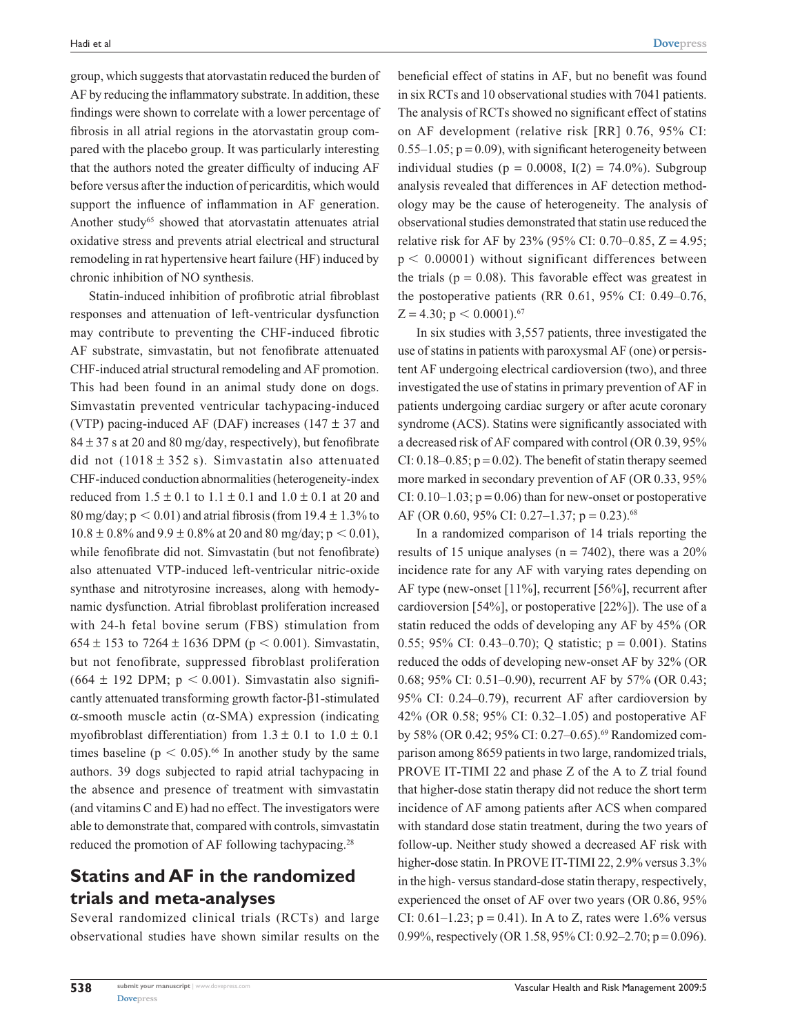group, which suggests that atorvastatin reduced the burden of AF by reducing the inflammatory substrate. In addition, these findings were shown to correlate with a lower percentage of fibrosis in all atrial regions in the atorvastatin group compared with the placebo group. It was particularly interesting that the authors noted the greater difficulty of inducing AF before versus after the induction of pericarditis, which would support the influence of inflammation in AF generation. Another study<sup>65</sup> showed that atorvastatin attenuates atrial oxidative stress and prevents atrial electrical and structural remodeling in rat hypertensive heart failure (HF) induced by chronic inhibition of NO synthesis.

Statin-induced inhibition of profibrotic atrial fibroblast responses and attenuation of left-ventricular dysfunction may contribute to preventing the CHF-induced fibrotic AF substrate, simvastatin, but not fenofibrate attenuated CHF-induced atrial structural remodeling and AF promotion. This had been found in an animal study done on dogs. Simvastatin prevented ventricular tachypacing-induced (VTP) pacing-induced AF (DAF) increases (147  $\pm$  37 and  $84 \pm 37$  s at 20 and 80 mg/day, respectively), but fenofibrate did not  $(1018 \pm 352 s)$ . Simvastatin also attenuated CHF-induced conduction abnormalities (heterogeneity-index reduced from  $1.5 \pm 0.1$  to  $1.1 \pm 0.1$  and  $1.0 \pm 0.1$  at 20 and 80 mg/day;  $p < 0.01$ ) and atrial fibrosis (from 19.4  $\pm$  1.3% to  $10.8 \pm 0.8\%$  and  $9.9 \pm 0.8\%$  at 20 and 80 mg/day; p < 0.01), while fenofibrate did not. Simvastatin (but not fenofibrate) also attenuated VTP-induced left-ventricular nitric-oxide synthase and nitrotyrosine increases, along with hemodynamic dysfunction. Atrial fibroblast proliferation increased with 24-h fetal bovine serum (FBS) stimulation from 654  $\pm$  153 to 7264  $\pm$  1636 DPM (p < 0.001). Simvastatin, but not fenofibrate, suppressed fibroblast proliferation  $(664 \pm 192 \text{ DPM}; \, p \leq 0.001)$ . Simvastatin also significantly attenuated transforming growth factor-β1-stimulated α-smooth muscle actin (α-SMA) expression (indicating myofibroblast differentiation) from  $1.3 \pm 0.1$  to  $1.0 \pm 0.1$ times baseline ( $p < 0.05$ ).<sup>66</sup> In another study by the same authors. 39 dogs subjected to rapid atrial tachypacing in the absence and presence of treatment with simvastatin (and vitamins C and E) had no effect. The investigators were able to demonstrate that, compared with controls, simvastatin reduced the promotion of AF following tachypacing.<sup>28</sup>

# **Statins and AF in the randomized trials and meta-analyses**

Several randomized clinical trials (RCTs) and large observational studies have shown similar results on the

beneficial effect of statins in AF, but no benefit was found in six RCTs and 10 observational studies with 7041 patients. The analysis of RCTs showed no significant effect of statins on AF development (relative risk [RR] 0.76, 95% CI:  $0.55-1.05$ ;  $p = 0.09$ ), with significant heterogeneity between individual studies ( $p = 0.0008$ ,  $I(2) = 74.0\%$ ). Subgroup analysis revealed that differences in AF detection methodology may be the cause of heterogeneity. The analysis of observational studies demonstrated that statin use reduced the relative risk for AF by 23% (95% CI: 0.70–0.85,  $Z = 4.95$ ;  $p < 0.00001$ ) without significant differences between the trials ( $p = 0.08$ ). This favorable effect was greatest in the postoperative patients (RR 0.61, 95% CI: 0.49–0.76,  $Z = 4.30$ ;  $p < 0.0001$ ).<sup>67</sup>

In six studies with 3,557 patients, three investigated the use of statins in patients with paroxysmal AF (one) or persistent AF undergoing electrical cardioversion (two), and three investigated the use of statins in primary prevention of AF in patients undergoing cardiac surgery or after acute coronary syndrome (ACS). Statins were significantly associated with a decreased risk of AF compared with control (OR 0.39, 95% CI:  $0.18-0.85$ ;  $p = 0.02$ ). The benefit of statin therapy seemed more marked in secondary prevention of AF (OR 0.33, 95% CI:  $0.10-1.03$ ;  $p = 0.06$ ) than for new-onset or postoperative AF (OR 0.60, 95% CI: 0.27–1.37; p = 0.23).<sup>68</sup>

In a randomized comparison of 14 trials reporting the results of 15 unique analyses ( $n = 7402$ ), there was a  $20\%$ incidence rate for any AF with varying rates depending on AF type (new-onset [11%], recurrent [56%], recurrent after cardioversion [54%], or postoperative [22%]). The use of a statin reduced the odds of developing any AF by 45% (OR 0.55; 95% CI: 0.43–0.70); Q statistic;  $p = 0.001$ ). Statins reduced the odds of developing new-onset AF by 32% (OR 0.68; 95% CI: 0.51–0.90), recurrent AF by 57% (OR 0.43; 95% CI: 0.24–0.79), recurrent AF after cardioversion by 42% (OR 0.58; 95% CI: 0.32–1.05) and postoperative AF by 58% (OR 0.42; 95% CI: 0.27–0.65).<sup>69</sup> Randomized comparison among 8659 patients in two large, randomized trials, PROVE IT-TIMI 22 and phase Z of the A to Z trial found that higher-dose statin therapy did not reduce the short term incidence of AF among patients after ACS when compared with standard dose statin treatment, during the two years of follow-up. Neither study showed a decreased AF risk with higher-dose statin. In PROVE IT-TIMI 22, 2.9% versus 3.3% in the high- versus standard-dose statin therapy, respectively, experienced the onset of AF over two years (OR 0.86, 95% CI:  $0.61-1.23$ ;  $p = 0.41$ ). In A to Z, rates were 1.6% versus 0.99%, respectively (OR 1.58, 95% CI: 0.92–2.70; p = 0.096).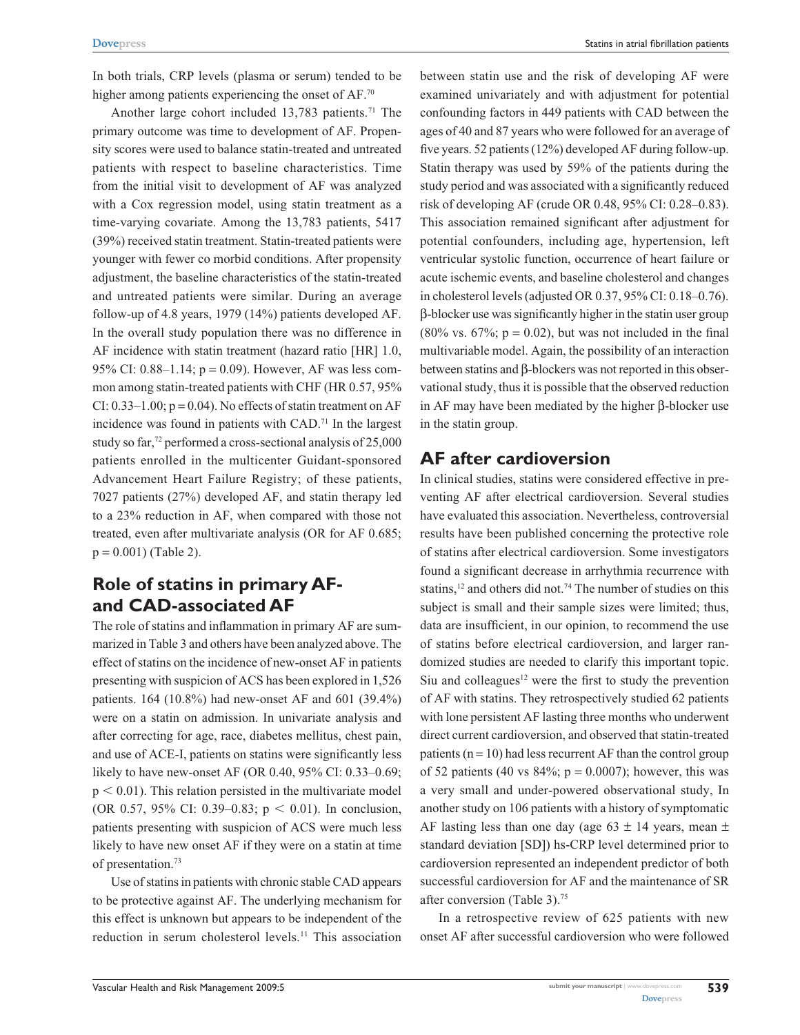In both trials, CRP levels (plasma or serum) tended to be higher among patients experiencing the onset of AF.<sup>70</sup>

Another large cohort included  $13,783$  patients.<sup>71</sup> The primary outcome was time to development of AF. Propensity scores were used to balance statin-treated and untreated patients with respect to baseline characteristics. Time from the initial visit to development of AF was analyzed with a Cox regression model, using statin treatment as a time-varying covariate. Among the 13,783 patients, 5417 (39%) received statin treatment. Statin-treated patients were younger with fewer co morbid conditions. After propensity adjustment, the baseline characteristics of the statin-treated and untreated patients were similar. During an average follow-up of 4.8 years, 1979 (14%) patients developed AF. In the overall study population there was no difference in AF incidence with statin treatment (hazard ratio [HR] 1.0, 95% CI:  $0.88-1.14$ ;  $p = 0.09$ ). However, AF was less common among statin-treated patients with CHF (HR 0.57, 95% CI:  $0.33-1.00$ ;  $p = 0.04$ ). No effects of statin treatment on AF incidence was found in patients with  $CAD.^{71}$  In the largest study so far,<sup>72</sup> performed a cross-sectional analysis of 25,000 patients enrolled in the multicenter Guidant-sponsored Advancement Heart Failure Registry; of these patients, 7027 patients (27%) developed AF, and statin therapy led to a 23% reduction in AF, when compared with those not treated, even after multivariate analysis (OR for AF 0.685;  $p = 0.001$ ) (Table 2).

# **Role of statins in primary AFand CAD-associated AF**

The role of statins and inflammation in primary AF are summarized in Table 3 and others have been analyzed above. The effect of statins on the incidence of new-onset AF in patients presenting with suspicion of ACS has been explored in 1,526 patients. 164 (10.8%) had new-onset AF and 601 (39.4%) were on a statin on admission. In univariate analysis and after correcting for age, race, diabetes mellitus, chest pain, and use of ACE-I, patients on statins were significantly less likely to have new-onset AF (OR 0.40, 95% CI: 0.33–0.69;  $p < 0.01$ ). This relation persisted in the multivariate model (OR 0.57, 95% CI: 0.39–0.83;  $p < 0.01$ ). In conclusion, patients presenting with suspicion of ACS were much less likely to have new onset AF if they were on a statin at time of presentation.73

Use of statins in patients with chronic stable CAD appears to be protective against AF. The underlying mechanism for this effect is unknown but appears to be independent of the reduction in serum cholesterol levels.<sup>11</sup> This association between statin use and the risk of developing AF were examined univariately and with adjustment for potential confounding factors in 449 patients with CAD between the ages of 40 and 87 years who were followed for an average of five years. 52 patients (12%) developed AF during follow-up. Statin therapy was used by 59% of the patients during the study period and was associated with a significantly reduced risk of developing AF (crude OR 0.48, 95% CI: 0.28–0.83). This association remained significant after adjustment for potential confounders, including age, hypertension, left ventricular systolic function, occurrence of heart failure or acute ischemic events, and baseline cholesterol and changes in cholesterol levels (adjusted OR 0.37, 95% CI: 0.18–0.76). β-blocker use was significantly higher in the statin user group  $(80\% \text{ vs. } 67\%; \text{ p} = 0.02)$ , but was not included in the final multivariable model. Again, the possibility of an interaction between statins and β-blockers was not reported in this observational study, thus it is possible that the observed reduction in AF may have been mediated by the higher β-blocker use in the statin group.

## **AF after cardioversion**

In clinical studies, statins were considered effective in preventing AF after electrical cardioversion. Several studies have evaluated this association. Nevertheless, controversial results have been published concerning the protective role of statins after electrical cardioversion. Some investigators found a significant decrease in arrhythmia recurrence with statins,<sup>12</sup> and others did not.<sup>74</sup> The number of studies on this subject is small and their sample sizes were limited; thus, data are insufficient, in our opinion, to recommend the use of statins before electrical cardioversion, and larger randomized studies are needed to clarify this important topic. Siu and colleagues $12$  were the first to study the prevention of AF with statins. They retrospectively studied 62 patients with lone persistent AF lasting three months who underwent direct current cardioversion, and observed that statin-treated patients  $(n = 10)$  had less recurrent AF than the control group of 52 patients (40 vs  $84\%$ ; p = 0.0007); however, this was a very small and under-powered observational study, In another study on 106 patients with a history of symptomatic AF lasting less than one day (age  $63 \pm 14$  years, mean  $\pm$ standard deviation [SD]) hs-CRP level determined prior to cardioversion represented an independent predictor of both successful cardioversion for AF and the maintenance of SR after conversion (Table 3).75

In a retrospective review of 625 patients with new onset AF after successful cardioversion who were followed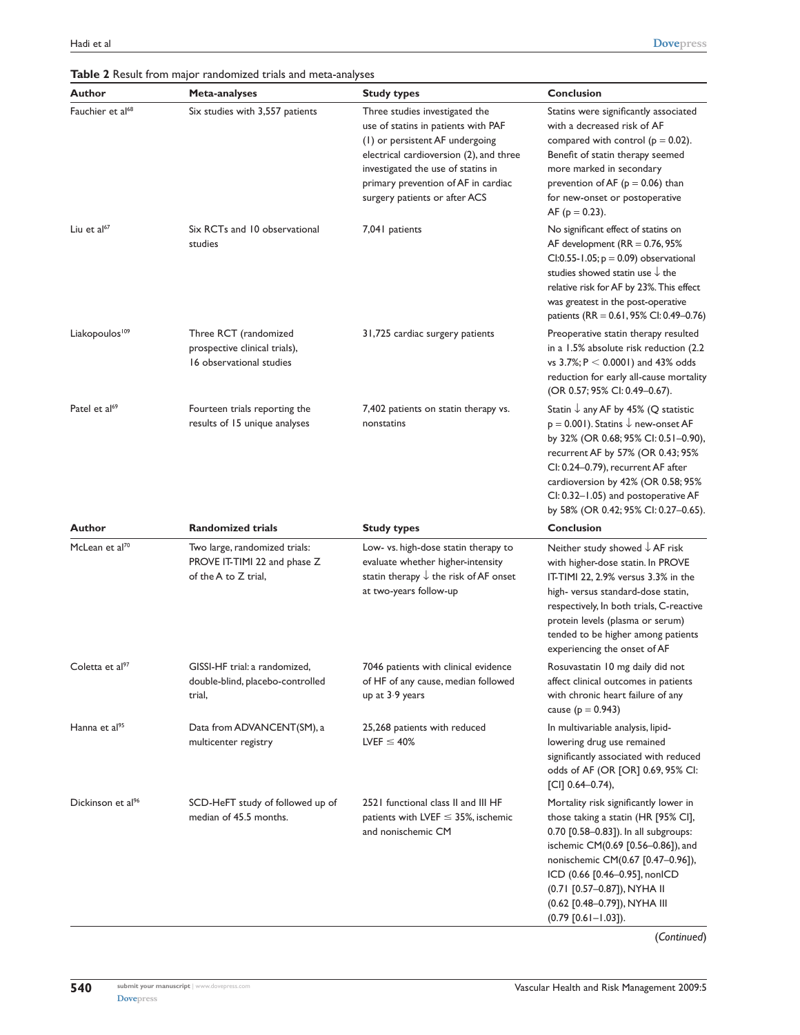| Author                        | Meta-analyses                                                                         | <b>Study types</b>                                                                                                                                                                                                                                                | <b>Conclusion</b>                                                                                                                                                                                                                                                                                                                          |
|-------------------------------|---------------------------------------------------------------------------------------|-------------------------------------------------------------------------------------------------------------------------------------------------------------------------------------------------------------------------------------------------------------------|--------------------------------------------------------------------------------------------------------------------------------------------------------------------------------------------------------------------------------------------------------------------------------------------------------------------------------------------|
| Fauchier et al <sup>68</sup>  | Six studies with 3,557 patients                                                       | Three studies investigated the<br>use of statins in patients with PAF<br>(1) or persistent AF undergoing<br>electrical cardioversion (2), and three<br>investigated the use of statins in<br>primary prevention of AF in cardiac<br>surgery patients or after ACS | Statins were significantly associated<br>with a decreased risk of AF<br>compared with control ( $p = 0.02$ ).<br>Benefit of statin therapy seemed<br>more marked in secondary<br>prevention of AF ( $p = 0.06$ ) than<br>for new-onset or postoperative<br>AF ( $p = 0.23$ ).                                                              |
| Liu et al <sup>67</sup>       | Six RCTs and 10 observational<br>studies                                              | 7,041 patients                                                                                                                                                                                                                                                    | No significant effect of statins on<br>AF development ( $RR = 0.76$ , 95%<br>CI:0.55-1.05; $p = 0.09$ ) observational<br>studies showed statin use $\downarrow$ the<br>relative risk for AF by 23%. This effect<br>was greatest in the post-operative<br>patients (RR = 0.61, 95% Cl: 0.49-0.76)                                           |
| Liakopoulos <sup>109</sup>    | Three RCT (randomized<br>prospective clinical trials),<br>16 observational studies    | 31,725 cardiac surgery patients                                                                                                                                                                                                                                   | Preoperative statin therapy resulted<br>in a 1.5% absolute risk reduction (2.2<br>vs $3.7\%; P < 0.0001$ ) and 43% odds<br>reduction for early all-cause mortality<br>(OR 0.57; 95% CI: 0.49-0.67).                                                                                                                                        |
| Patel et al <sup>69</sup>     | Fourteen trials reporting the<br>results of 15 unique analyses                        | 7,402 patients on statin therapy vs.<br>nonstatins                                                                                                                                                                                                                | Statin $\downarrow$ any AF by 45% (Q statistic<br>$p = 0.001$ ). Statins $\downarrow$ new-onset AF<br>by 32% (OR 0.68; 95% CI: 0.51-0.90),<br>recurrent AF by 57% (OR 0.43; 95%<br>Cl: 0.24-0.79), recurrent AF after<br>cardioversion by 42% (OR 0.58; 95%<br>CI: 0.32-1.05) and postoperative AF<br>by 58% (OR 0.42; 95% CI: 0.27-0.65). |
| <b>Author</b>                 | <b>Randomized trials</b>                                                              | <b>Study types</b>                                                                                                                                                                                                                                                | <b>Conclusion</b>                                                                                                                                                                                                                                                                                                                          |
| McLean et $al^{70}$           | Two large, randomized trials:<br>PROVE IT-TIMI 22 and phase Z<br>of the A to Z trial, | Low- vs. high-dose statin therapy to<br>evaluate whether higher-intensity<br>statin therapy $\downarrow$ the risk of AF onset<br>at two-years follow-up                                                                                                           | Neither study showed $\downarrow$ AF risk<br>with higher-dose statin. In PROVE<br>IT-TIMI 22, 2.9% versus 3.3% in the<br>high- versus standard-dose statin,<br>respectively, In both trials, C-reactive<br>protein levels (plasma or serum)<br>tended to be higher among patients<br>experiencing the onset of AF                          |
| Coletta et al <sup>97</sup>   | GISSI-HF trial: a randomized,<br>double-blind, placebo-controlled<br>trial,           | 7046 patients with clinical evidence<br>of HF of any cause, median followed<br>up at 3.9 years                                                                                                                                                                    | Rosuvastatin 10 mg daily did not<br>affect clinical outcomes in patients<br>with chronic heart failure of any<br>cause ( $p = 0.943$ )                                                                                                                                                                                                     |
| Hanna et al <sup>95</sup>     | Data from ADVANCENT(SM), a<br>multicenter registry                                    | 25,268 patients with reduced<br>LVEF $\leq 40\%$                                                                                                                                                                                                                  | In multivariable analysis, lipid-<br>lowering drug use remained<br>significantly associated with reduced<br>odds of AF (OR [OR] 0.69, 95% CI:<br>[CI] $0.64 - 0.74$ ),                                                                                                                                                                     |
| Dickinson et al <sup>96</sup> | SCD-HeFT study of followed up of<br>median of 45.5 months.                            | 2521 functional class II and III HF<br>patients with LVEF $\leq$ 35%, ischemic<br>and nonischemic CM                                                                                                                                                              | Mortality risk significantly lower in<br>those taking a statin (HR [95% CI],<br>0.70 [0.58-0.83]). In all subgroups:<br>ischemic CM(0.69 [0.56-0.86]), and<br>nonischemic CM(0.67 [0.47-0.96]),<br>ICD (0.66 [0.46-0.95], nonICD<br>(0.71 [0.57-0.87]), NYHA II<br>(0.62 [0.48-0.79]), NYHA III<br>$(0.79$ [0.61-1.03]).                   |

(*Continued*)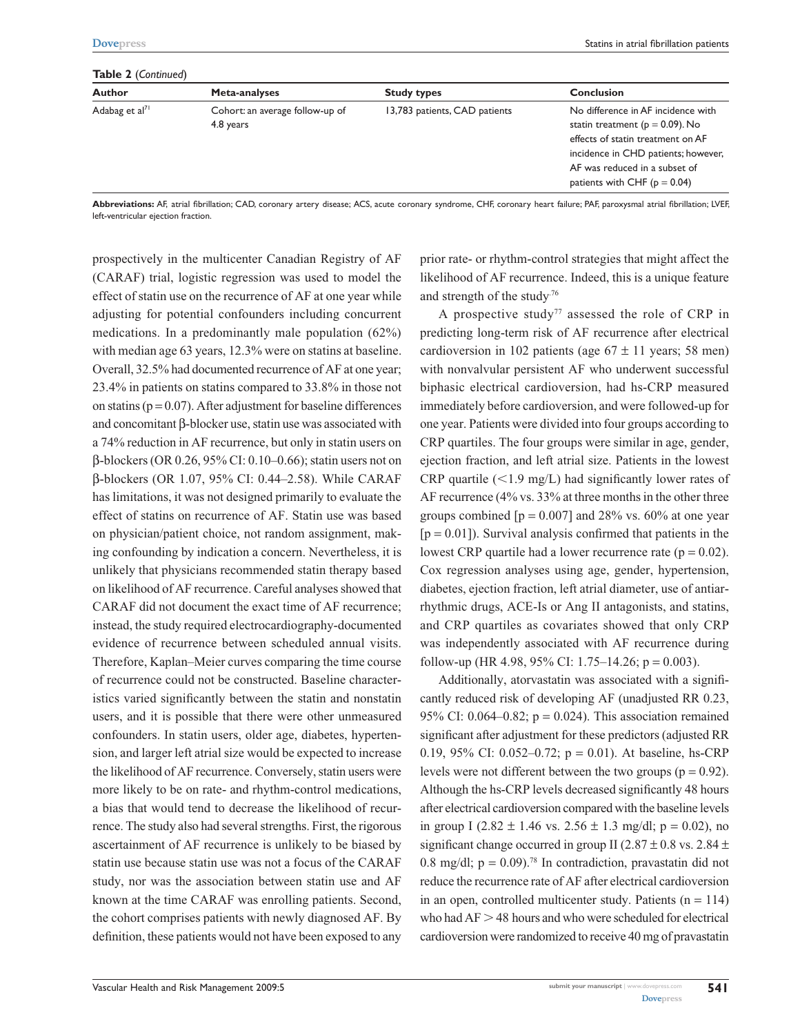| <b>Table 2</b> (Continued) |                                              |                               |                                                                                                                                                                                                                            |
|----------------------------|----------------------------------------------|-------------------------------|----------------------------------------------------------------------------------------------------------------------------------------------------------------------------------------------------------------------------|
| <b>Author</b>              | Meta-analyses                                | <b>Study types</b>            | <b>Conclusion</b>                                                                                                                                                                                                          |
| Adabag et al <sup>71</sup> | Cohort: an average follow-up of<br>4.8 years | 13,783 patients, CAD patients | No difference in AF incidence with<br>statin treatment ( $p = 0.09$ ). No<br>effects of statin treatment on AF<br>incidence in CHD patients; however,<br>AF was reduced in a subset of<br>patients with CHF ( $p = 0.04$ ) |

**Abbreviations:** AF, atrial fibrillation; CAD, coronary artery disease; ACS, acute coronary syndrome, CHF, coronary heart failure; PAF, paroxysmal atrial fibrillation; LVEF, left-ventricular ejection fraction.

prospectively in the multicenter Canadian Registry of AF (CARAF) trial, logistic regression was used to model the effect of statin use on the recurrence of AF at one year while adjusting for potential confounders including concurrent medications. In a predominantly male population (62%) with median age 63 years, 12.3% were on statins at baseline. Overall, 32.5% had documented recurrence of AF at one year; 23.4% in patients on statins compared to 33.8% in those not on statins ( $p = 0.07$ ). After adjustment for baseline differences and concomitant β-blocker use, statin use was associated with a 74% reduction in AF recurrence, but only in statin users on β-blockers (OR 0.26, 95% CI: 0.10–0.66); statin users not on β-blockers (OR 1.07, 95% CI: 0.44–2.58). While CARAF has limitations, it was not designed primarily to evaluate the effect of statins on recurrence of AF. Statin use was based on physician/patient choice, not random assignment, making confounding by indication a concern. Nevertheless, it is unlikely that physicians recommended statin therapy based on likelihood of AF recurrence. Careful analyses showed that CARAF did not document the exact time of AF recurrence; instead, the study required electrocardiography-documented evidence of recurrence between scheduled annual visits. Therefore, Kaplan–Meier curves comparing the time course of recurrence could not be constructed. Baseline characteristics varied significantly between the statin and nonstatin users, and it is possible that there were other unmeasured confounders. In statin users, older age, diabetes, hypertension, and larger left atrial size would be expected to increase the likelihood of AF recurrence. Conversely, statin users were more likely to be on rate- and rhythm-control medications, a bias that would tend to decrease the likelihood of recurrence. The study also had several strengths. First, the rigorous ascertainment of AF recurrence is unlikely to be biased by statin use because statin use was not a focus of the CARAF study, nor was the association between statin use and AF known at the time CARAF was enrolling patients. Second, the cohort comprises patients with newly diagnosed AF. By definition, these patients would not have been exposed to any

prior rate- or rhythm-control strategies that might affect the likelihood of AF recurrence. Indeed, this is a unique feature and strength of the study.76

A prospective study<sup>77</sup> assessed the role of CRP in predicting long-term risk of AF recurrence after electrical cardioversion in 102 patients (age  $67 \pm 11$  years; 58 men) with nonvalvular persistent AF who underwent successful biphasic electrical cardioversion, had hs-CRP measured immediately before cardioversion, and were followed-up for one year. Patients were divided into four groups according to CRP quartiles. The four groups were similar in age, gender, ejection fraction, and left atrial size. Patients in the lowest CRP quartile  $(<1.9 \text{ mg/L})$  had significantly lower rates of AF recurrence (4% vs. 33% at three months in the other three groups combined  $[p = 0.007]$  and 28% vs. 60% at one year  $[p = 0.01]$ ). Survival analysis confirmed that patients in the lowest CRP quartile had a lower recurrence rate ( $p = 0.02$ ). Cox regression analyses using age, gender, hypertension, diabetes, ejection fraction, left atrial diameter, use of antiarrhythmic drugs, ACE-Is or Ang II antagonists, and statins, and CRP quartiles as covariates showed that only CRP was independently associated with AF recurrence during follow-up (HR 4.98, 95% CI: 1.75–14.26;  $p = 0.003$ ).

Additionally, atorvastatin was associated with a significantly reduced risk of developing AF (unadjusted RR 0.23, 95% CI: 0.064–0.82;  $p = 0.024$ ). This association remained significant after adjustment for these predictors (adjusted RR 0.19, 95% CI: 0.052–0.72;  $p = 0.01$ ). At baseline, hs-CRP levels were not different between the two groups ( $p = 0.92$ ). Although the hs-CRP levels decreased significantly 48 hours after electrical cardioversion compared with the baseline levels in group I (2.82  $\pm$  1.46 vs. 2.56  $\pm$  1.3 mg/dl; p = 0.02), no significant change occurred in group II ( $2.87 \pm 0.8$  vs.  $2.84 \pm$ 0.8 mg/dl;  $p = 0.09$ .<sup>78</sup> In contradiction, pravastatin did not reduce the recurrence rate of AF after electrical cardioversion in an open, controlled multicenter study. Patients  $(n = 114)$ who had  $AF > 48$  hours and who were scheduled for electrical cardioversion were randomized to receive 40 mg of pravastatin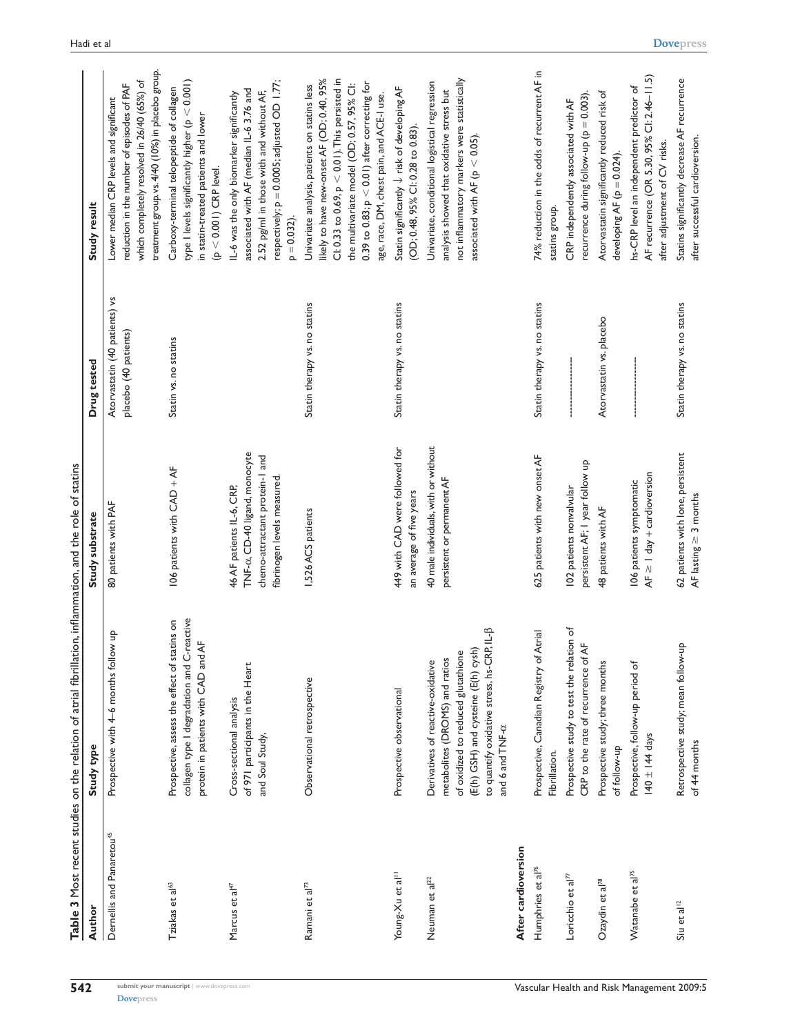| Author                                | Study type                                                                                                                                                                                                                      | Study substrate                                                                                                             | Drug tested                                            | Study result                                                                                                                                                                                                                                                                                     |
|---------------------------------------|---------------------------------------------------------------------------------------------------------------------------------------------------------------------------------------------------------------------------------|-----------------------------------------------------------------------------------------------------------------------------|--------------------------------------------------------|--------------------------------------------------------------------------------------------------------------------------------------------------------------------------------------------------------------------------------------------------------------------------------------------------|
| Dernellis and Panaretou <sup>45</sup> | Prospective with 4-6 months follow up                                                                                                                                                                                           | 80 patients with PAF                                                                                                        | Atorvastatin (40 patients) vs<br>placebo (40 patients) | treatment group. vs. 4/40 (10%) in placebo group.<br>which completely resolved in 26/40 (65%) of<br>reduction in the number of episodes of PAF<br>Lower median CRP levels and significant                                                                                                        |
| Tziakas et al <sup>63</sup>           | collagen type I degradation and C-reactive<br>Prospective, assess the effect of statins on<br>protein in patients with CAD and AF                                                                                               | 106 patients with CAD + AF                                                                                                  | Statin vs. no statins                                  | type I levels significantly higher $(p < 0.001)$<br>Carboxy-terminal telopeptide of collagen<br>in statin-treated patients and lower<br>$(p < 0.001)$ CRP level.                                                                                                                                 |
| Marcus et al <sup>47</sup>            | of 971 participants in the Heart<br>Cross-sectional analysis<br>and Soul Study,                                                                                                                                                 | TNF-a, CD-40 ligand, monocyte<br>chemo-attractant protein-1 and<br>fibrinogen levels measured.<br>46 AF patients IL-6, CRP, |                                                        | respectively; $p = 0.0005$ ; adjusted OD 1.77;<br>associated with AF (median IL-6 3.76 and<br>2.52 pg/ml in those with and without AF,<br>IL-6 was the only biomarker significantly<br>$p = 0.032$ ).                                                                                            |
| Ramani et al <sup>73</sup>            | Observational retrospective                                                                                                                                                                                                     | I,526 ACS patients                                                                                                          | Statin therapy vs. no statins                          | Cl: 0.33 to $0.69$ , $p < 0.01$ ). This persisted in<br>likely to have new-onset AF (OD; 0.40, 95%<br>0.39 to 0.83; $p < 0.01$ ) after correcting for<br>the multivariate model (OD; 0.57, 95% Cl:<br>Univariate analysis, patients on statins less<br>age, race, DM, chest pain, and ACE-I use. |
| Young-Xu et al"                       | Prospective observational                                                                                                                                                                                                       | 449 with CAD were followed for<br>an average of five years                                                                  | Statin therapy vs. no statins                          | Statin significantly $\downarrow$ risk of developing AF<br>(OD; 0.48, 95% CI: 0.28 to 0.83)                                                                                                                                                                                                      |
| Neuman et al <sup>22</sup>            | to quantify oxidative stress, hs-CRP, IL- $\beta$<br>of oxidized to reduced glutathione<br>(E(h) GSH) and cysteine (E(h) cysh<br>metabolites (DROMS) and ratios<br>Derivatives of reactive-oxidative<br>and 6 and TNF- $\alpha$ | 40 male individuals, with or without<br>persistent or permanent AF                                                          |                                                        | not inflammatory markers were statistically<br>Univariate, conditional logistical regression<br>analysis showed that oxidative stress but<br>associated with AF ( $p < 0.05$ ).                                                                                                                  |
| After cardioversion                   |                                                                                                                                                                                                                                 |                                                                                                                             |                                                        |                                                                                                                                                                                                                                                                                                  |
| Humphries et al <sup>76</sup>         | Prospective, Canadian Registry of Atrial<br>Fibrillation.                                                                                                                                                                       | 625 patients with new onset AF                                                                                              | Statin therapy vs. no statins                          | 74% reduction in the odds of recurrent AF in<br>statins group.                                                                                                                                                                                                                                   |
| Loricchio et al <sup>77</sup>         | Prospective study to test the relation of<br>CRP to the rate of recurrence of AF                                                                                                                                                | persistent AF; I year follow up<br>102 patients nonvalvular                                                                 |                                                        | recurrence during follow-up (p = 0.003).<br>CRP independently associated with AF                                                                                                                                                                                                                 |
| Ozaydin et al <sup>78</sup>           | Prospective study; three months<br>of follow-up                                                                                                                                                                                 | 48 patients with AF                                                                                                         | Atorvastatin vs. placebo                               | Atorvastatin significantly reduced risk of<br>developing AF ( $p = 0.024$ ).                                                                                                                                                                                                                     |
| Watanabe et al <sup>75</sup>          | Prospective, follow-up period of<br>$140 \pm 144$ days                                                                                                                                                                          | $AF \ge 1$ day + cardioversion<br>106 patients symptomatic                                                                  |                                                        | AF recurrence (OR 5.30, 95% Cl: 2.46-11.5)<br>hs-CRP level an independent predictor of<br>after adjustment of CV risks.                                                                                                                                                                          |
| Siu et al $^{12}$                     | 으<br>Retrospective study; mean follow-u<br>of 44 months                                                                                                                                                                         | 62 patients with lone, persistent<br>AF lasting $\geq$ 3 months                                                             | Statin therapy vs. no statins                          | Statins significantly decrease AF recurrence<br>after successful cardioversion.                                                                                                                                                                                                                  |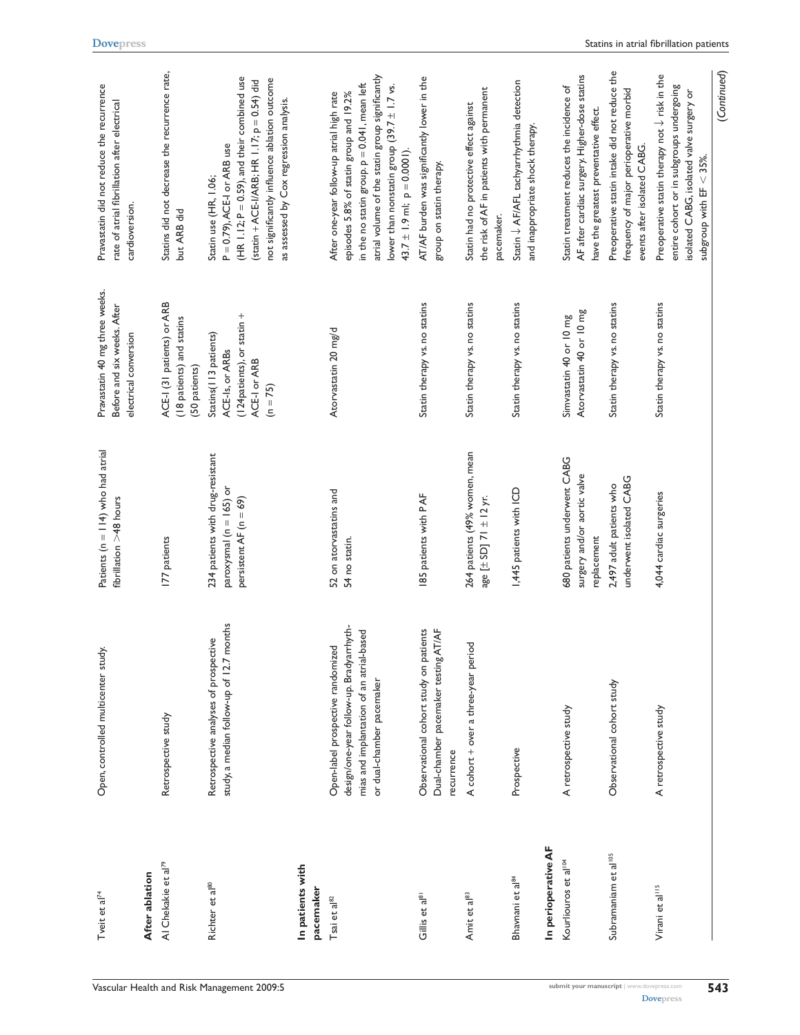| Tveit et al <sup>74</sup>                           | Open, controlled multicenter study                                                                                                                     | Patients (n = 114) who had atrial<br>fibrillation >48 hours                               | Pravastatin 40 mg three weeks.<br>Before and six weeks. After<br>electrical conversion                | Pravastatin did not reduce the recurrence<br>rate of atrial fibrillation after electrical<br>cardioversion.                                                                                                                                                                        |
|-----------------------------------------------------|--------------------------------------------------------------------------------------------------------------------------------------------------------|-------------------------------------------------------------------------------------------|-------------------------------------------------------------------------------------------------------|------------------------------------------------------------------------------------------------------------------------------------------------------------------------------------------------------------------------------------------------------------------------------------|
| After ablation                                      |                                                                                                                                                        |                                                                                           |                                                                                                       |                                                                                                                                                                                                                                                                                    |
| Al Chekakie et al <sup>79</sup>                     | Retrospective study                                                                                                                                    | 177 patients                                                                              | ACE-I (31 patients) or ARB<br>(18 patients) and statins<br>(50 patients)                              | Statins did not decrease the recurrence rate,<br>but ARB did                                                                                                                                                                                                                       |
| Richter et al <sup>80</sup>                         | study, a median follow-up of 12.7 months<br>Retrospective analyses of prospective                                                                      | 234 patients with drug-resistant<br>paroxysmal $(n = 165)$ or<br>persistent $AF$ (n = 69) | (124 patients), or statin +<br>Statins(II3 patients)<br>ACE-Is, or ARBs<br>ACE-I or ARB<br>$(n = 75)$ | (HR $1.12$ ; $P = 0.59$ ), and their combined use<br>not significantly influence ablation outcome<br>(statin + ACE-I/ARB; HR 1.17; $p = 0.54$ ) did<br>as assessed by Cox regression analysis.<br>$P = 0.79$ ), ACE-I or ARB use<br>Statin use (HR, I.06;                          |
| In patients with<br>pacemaker                       |                                                                                                                                                        |                                                                                           |                                                                                                       |                                                                                                                                                                                                                                                                                    |
| Tsai et al <sup>82</sup>                            | design/one-year follow-up. Bradyarrhyth-<br>mias and implantation of an atrial-based<br>Open-label prospective randomized<br>or dual-chamber pacemaker | 52 on atorvastatins and<br>54 no statin.                                                  | Atorvastatin 20 mg/d                                                                                  | atrial volume of the statin group significantly<br>in the no statin group. $p = 0.041$ , mean left<br>lower than nonstatin group (39.7 $\pm$ 1.7 vs.<br>episodes 5.8% of statin group and 19.2%<br>After one-year follow-up atrial high rate<br>$43.7 \pm 1.9$ ml; $p = 0.0001$ ). |
| Gillis et al <sup>81</sup>                          | Dual-chamber pacemaker testing AT/AF<br>Observational cohort study on patients<br>recurrence                                                           | 185 patients with PAF                                                                     | Statin therapy vs. no statins                                                                         | AT/AF burden was significantly lower in the<br>group on statin therapy.                                                                                                                                                                                                            |
| Amit et al <sup>83</sup>                            | তৃ<br>A cohort + over a three-year perio                                                                                                               | 264 patients (49% women, mean<br>age [± SD] 71 ± 12 yr.                                   | Statin therapy vs. no statins                                                                         | the risk of AF in patients with permanent<br>Statin had no protective effect against<br>pacemaker.                                                                                                                                                                                 |
| In perioperative AF<br>Bhavnani et al <sup>84</sup> | Prospective                                                                                                                                            | 1,445 patients with ICD                                                                   | Statin therapy vs. no statins                                                                         | Statin $\downarrow$ AF/AFL tachyarrhythmia detection<br>and inappropriate shock therapy                                                                                                                                                                                            |
| Kourliouros et al <sup>104</sup>                    | A retrospective study                                                                                                                                  | 680 patients underwent CABG<br>surgery and/or aortic valve<br>replacement                 | Atorvastatin 40 or 10 mg<br>Simvastatin 40 or 10 mg                                                   | AF after cardiac surgery. Higher-dose statins<br>Statin treatment reduces the incidence of<br>have the greatest preventative effect.                                                                                                                                               |
| Subramaniam et al <sup>105</sup>                    | Observational cohort study                                                                                                                             | underwent isolated CABG<br>2,497 adult patients who                                       | Statin therapy vs. no statins                                                                         | Preoperative statin intake did not reduce the<br>frequency of major perioperative morbid<br>events after isolated CABG.                                                                                                                                                            |
| Virani et al <sup>lis</sup>                         | A retrospective study                                                                                                                                  | 4,044 cardiac surgeries                                                                   | Statin therapy vs. no statins                                                                         | (Continued)<br>Preoperative statin therapy not $\downarrow$ risk in the<br>entire cohort or in subgroups undergoing<br>isolated CABG, isolated valve surgery or<br>subgroup with $EF < 35\%$ .                                                                                     |

**[Dovepress](www.dovepress.com)**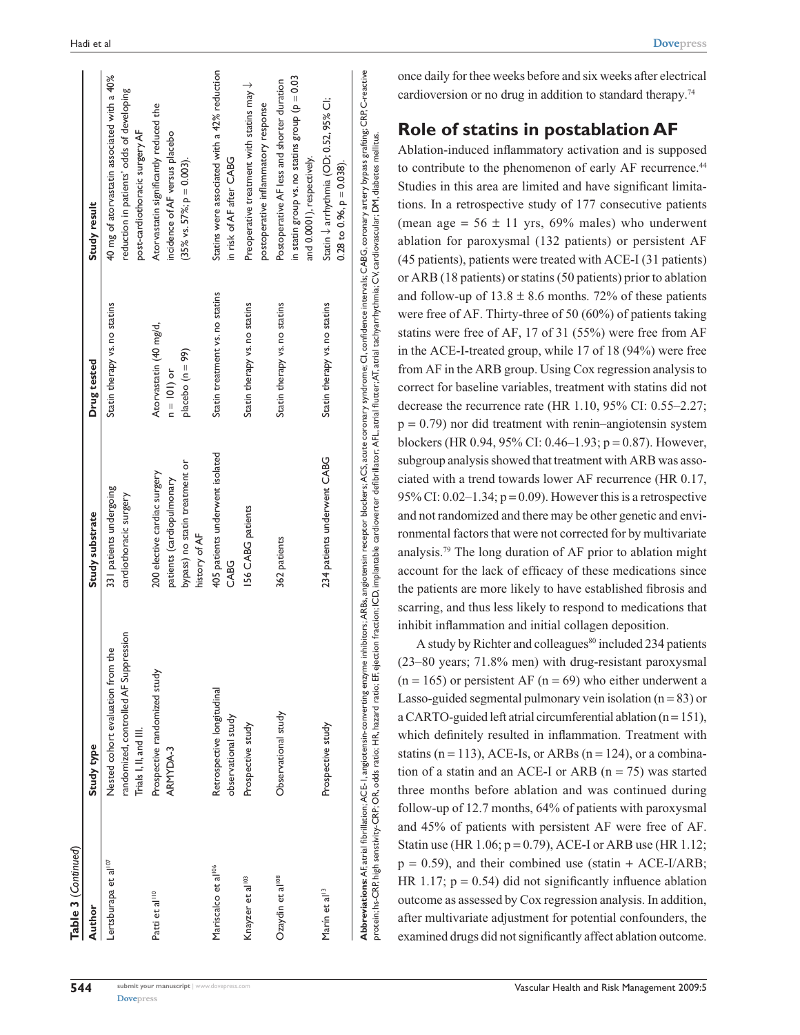| <b>Table 3</b> (Continued)       |                                                                                                                                                                                                                                                                                                                                                                                                                                                                 |                                                                                                              |                                                                  |                                                                                                                               |
|----------------------------------|-----------------------------------------------------------------------------------------------------------------------------------------------------------------------------------------------------------------------------------------------------------------------------------------------------------------------------------------------------------------------------------------------------------------------------------------------------------------|--------------------------------------------------------------------------------------------------------------|------------------------------------------------------------------|-------------------------------------------------------------------------------------------------------------------------------|
| Author                           | Study type                                                                                                                                                                                                                                                                                                                                                                                                                                                      | Study substrate                                                                                              | Drug tested                                                      | Study result                                                                                                                  |
| Lertsburapa et al <sup>107</sup> | randomized, controlled AF Suppression<br>ğ<br>Nested cohort evaluation from th<br>Trials I, II, and III.                                                                                                                                                                                                                                                                                                                                                        | 331 patients undergoing<br>cardiothoracic surgery                                                            | Statin therapy vs. no statins                                    | 40 mg of atorvastatin associated with a 40%<br>reduction in patients' odds of developing<br>post-cardiothoracic surgery AF    |
| Patti et al <sup>110</sup>       | Prospective randomized study<br>ARMYDA-3                                                                                                                                                                                                                                                                                                                                                                                                                        | bypass) no statin treatment or<br>200 elective cardiac surgery<br>patients (cardiopulmonary<br>history of AF | Atorvastatin (40 mg/d,<br>placebo ( $n = 99$ )<br>$n = 101$ ) or | Atorvastatin significantly reduced the<br>incidence of AF versus placebo<br>$(35\% \text{ vs. } 57\%; p = 0.003).$            |
| Mariscalco et al <sup>106</sup>  | Retrospective longitudinal<br>observational study                                                                                                                                                                                                                                                                                                                                                                                                               | 405 patients underwent isolated<br>CABG                                                                      | Statin treatment vs. no statins                                  | Statins were associated with a 42% reduction<br>in risk of AF after CABG                                                      |
| Knayzer et al <sup>103</sup>     | Prospective study                                                                                                                                                                                                                                                                                                                                                                                                                                               | <b>IS6 CABG</b> patients                                                                                     | Statin therapy vs. no statins                                    | Preoperative treatment with statins may $\downarrow$<br>postoperative inflammatory response                                   |
| Ozaydin et al <sup>108</sup>     | Observational study                                                                                                                                                                                                                                                                                                                                                                                                                                             | 362 patients                                                                                                 | Statin therapy vs. no statins                                    | in statin group vs. no statins group ( $p = 0.03$<br>Postoperative AF less and shorter duration<br>and 0.0001), respectively. |
| Marín et al <sup>13</sup>        | Prospective study                                                                                                                                                                                                                                                                                                                                                                                                                                               | 234 patients underwent CABG                                                                                  | Statin therapy vs. no statins                                    | Statin Larrhythmia (OD; 0.52, 95% Cl;<br>0.28 to 0.96, $p = 0.038$ ).                                                         |
|                                  | Abbreviations: AF, atrial fibrillation; ACE-I, angiotensin-converting enzyme inhibitors; ARBs, angiotensin receptor blockers; ACS, acute coronary syndrome; CI, confidence intervals; CABG, coronary artery bypass grafting; C<br>protein; hs-CRP, high senstivity-CRP; OR, odds ratio; HR, hazard ratio; EF, ejection fraction; ICD, implantable cardioverter defibrillator; AFL, atrial flutter; AT, atrial tachyarrhythmia; CV, cardiovascular; DM, diabetes |                                                                                                              |                                                                  |                                                                                                                               |

once daily for thee weeks before and six weeks after electrical cardioversion or no drug in addition to standard therapy.74

### **Role of statins in postablation AF**

Ablation-induced inflammatory activation and is supposed to contribute to the phenomenon of early AF recurrence.<sup>44</sup> Studies in this area are limited and have significant limitations. In a retrospective study of 177 consecutive patients (mean age =  $56 \pm 11$  yrs, 69% males) who underwent ablation for paroxysmal (132 patients) or persistent AF (45 patients), patients were treated with ACE-I (31 patients) or ARB (18 patients) or statins (50 patients) prior to ablation and follow-up of  $13.8 \pm 8.6$  months. 72% of these patients were free of AF. Thirty-three of 50 (60%) of patients taking statins were free of AF, 17 of 31 (55%) were free from AF in the ACE-I-treated group, while 17 of 18 (94%) were free from AF in the ARB group. Using Cox regression analysis to correct for baseline variables, treatment with statins did not decrease the recurrence rate (HR 1.10, 95% CI: 0.55–2.27;  $p = 0.79$ ) nor did treatment with renin–angiotensin system blockers (HR 0.94, 95% CI: 0.46–1.93;  $p = 0.87$ ). However, subgroup analysis showed that treatment with ARB was associated with a trend towards lower AF recurrence (HR 0.17, 95% CI:  $0.02-1.34$ ;  $p = 0.09$ ). However this is a retrospective and not randomized and there may be other genetic and environmental factors that were not corrected for by multivariate analysis.79 The long duration of AF prior to ablation might account for the lack of efficacy of these medications since the patients are more likely to have established fibrosis and scarring, and thus less likely to respond to medications that inhibit inflammation and initial collagen deposition.

A study by Richter and colleagues<sup>80</sup> included 234 patients (23–80 years; 71.8% men) with drug-resistant paroxysmal  $(n = 165)$  or persistent AF  $(n = 69)$  who either underwent a Lasso-guided segmental pulmonary vein isolation  $(n = 83)$  or a CARTO-guided left atrial circumferential ablation  $(n = 151)$ , which definitely resulted in inflammation. Treatment with statins ( $n = 113$ ), ACE-Is, or ARBs ( $n = 124$ ), or a combination of a statin and an ACE-I or ARB  $(n = 75)$  was started three months before ablation and was continued during follow-up of 12.7 months, 64% of patients with paroxysmal and 45% of patients with persistent AF were free of AF. Statin use (HR  $1.06$ ;  $p = 0.79$ ), ACE-I or ARB use (HR  $1.12$ ;  $p = 0.59$ ), and their combined use (statin + ACE-I/ARB; HR 1.17;  $p = 0.54$ ) did not significantly influence ablation outcome as assessed by Cox regression analysis. In addition, after multivariate adjustment for potential confounders, the examined drugs did not significantly affect ablation outcome.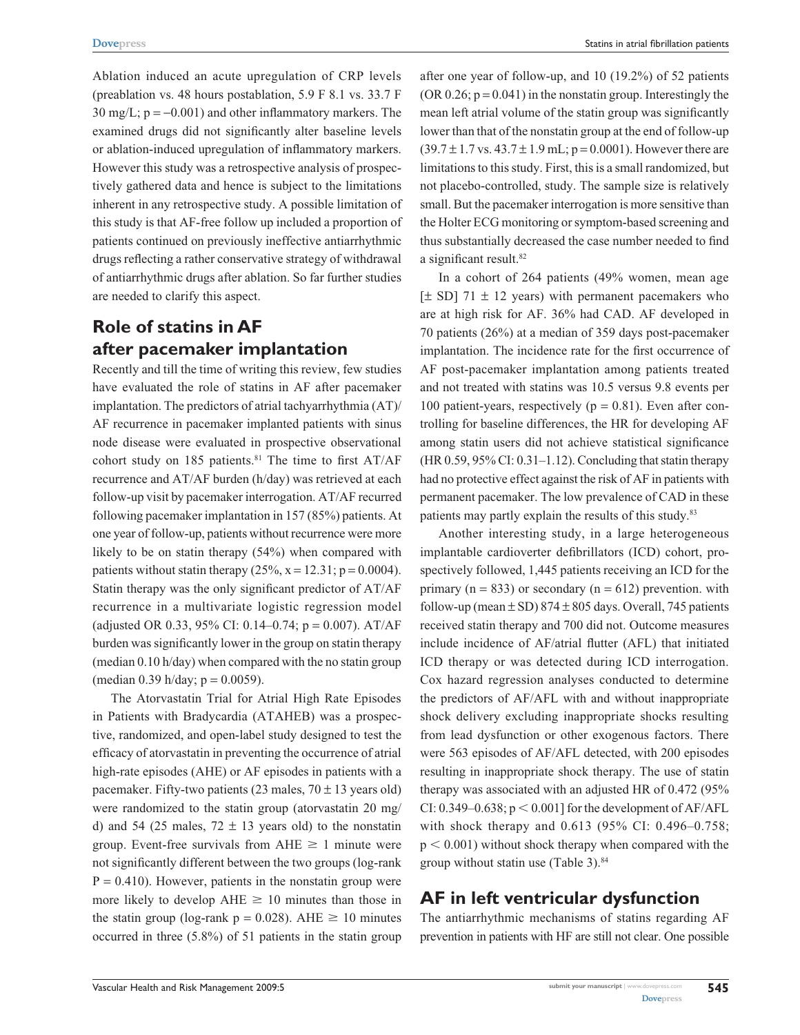Ablation induced an acute upregulation of CRP levels (preablation vs. 48 hours postablation, 5.9 F 8.1 vs. 33.7 F 30 mg/L;  $p = -0.001$ ) and other inflammatory markers. The examined drugs did not significantly alter baseline levels or ablation-induced upregulation of inflammatory markers. However this study was a retrospective analysis of prospectively gathered data and hence is subject to the limitations inherent in any retrospective study. A possible limitation of this study is that AF-free follow up included a proportion of patients continued on previously ineffective antiarrhythmic drugs reflecting a rather conservative strategy of withdrawal of antiarrhythmic drugs after ablation. So far further studies are needed to clarify this aspect.

# **Role of statins in AF after pacemaker implantation**

Recently and till the time of writing this review, few studies have evaluated the role of statins in AF after pacemaker implantation. The predictors of atrial tachyarrhythmia (AT)/ AF recurrence in pacemaker implanted patients with sinus node disease were evaluated in prospective observational cohort study on 185 patients. $81$  The time to first AT/AF recurrence and AT/AF burden (h/day) was retrieved at each follow-up visit by pacemaker interrogation. AT/AF recurred following pacemaker implantation in 157 (85%) patients. At one year of follow-up, patients without recurrence were more likely to be on statin therapy (54%) when compared with patients without statin therapy  $(25\%, x = 12.31; p = 0.0004)$ . Statin therapy was the only significant predictor of AT/AF recurrence in a multivariate logistic regression model (adjusted OR 0.33, 95% CI: 0.14–0.74;  $p = 0.007$ ). AT/AF burden was significantly lower in the group on statin therapy (median 0.10 h/day) when compared with the no statin group (median 0.39 h/day;  $p = 0.0059$ ).

The Atorvastatin Trial for Atrial High Rate Episodes in Patients with Bradycardia (ATAHEB) was a prospective, randomized, and open-label study designed to test the efficacy of atorvastatin in preventing the occurrence of atrial high-rate episodes (AHE) or AF episodes in patients with a pacemaker. Fifty-two patients (23 males,  $70 \pm 13$  years old) were randomized to the statin group (atorvastatin 20 mg/ d) and 54 (25 males,  $72 \pm 13$  years old) to the nonstatin group. Event-free survivals from  $AHE \geq 1$  minute were not significantly different between the two groups (log-rank  $P = 0.410$ . However, patients in the nonstatin group were more likely to develop  $AHE \geq 10$  minutes than those in the statin group (log-rank  $p = 0.028$ ). AHE  $\geq 10$  minutes occurred in three (5.8%) of 51 patients in the statin group after one year of follow-up, and 10 (19.2%) of 52 patients (OR 0.26;  $p = 0.041$ ) in the nonstatin group. Interestingly the mean left atrial volume of the statin group was significantly lower than that of the nonstatin group at the end of follow-up  $(39.7 \pm 1.7 \text{ vs. } 43.7 \pm 1.9 \text{ mL}; p = 0.0001)$ . However there are limitations to this study. First, this is a small randomized, but not placebo-controlled, study. The sample size is relatively small. But the pacemaker interrogation is more sensitive than the Holter ECG monitoring or symptom-based screening and thus substantially decreased the case number needed to find a significant result.<sup>82</sup>

In a cohort of 264 patients (49% women, mean age  $[\pm S D]$  71  $\pm$  12 years) with permanent pacemakers who are at high risk for AF. 36% had CAD. AF developed in 70 patients (26%) at a median of 359 days post-pacemaker implantation. The incidence rate for the first occurrence of AF post-pacemaker implantation among patients treated and not treated with statins was 10.5 versus 9.8 events per 100 patient-years, respectively ( $p = 0.81$ ). Even after controlling for baseline differences, the HR for developing AF among statin users did not achieve statistical significance (HR 0.59, 95% CI: 0.31–1.12). Concluding that statin therapy had no protective effect against the risk of AF in patients with permanent pacemaker. The low prevalence of CAD in these patients may partly explain the results of this study.<sup>83</sup>

Another interesting study, in a large heterogeneous implantable cardioverter defibrillators (ICD) cohort, prospectively followed, 1,445 patients receiving an ICD for the primary ( $n = 833$ ) or secondary ( $n = 612$ ) prevention. with follow-up (mean  $\pm$  SD) 874  $\pm$  805 days. Overall, 745 patients received statin therapy and 700 did not. Outcome measures include incidence of AF/atrial flutter (AFL) that initiated ICD therapy or was detected during ICD interrogation. Cox hazard regression analyses conducted to determine the predictors of AF/AFL with and without inappropriate shock delivery excluding inappropriate shocks resulting from lead dysfunction or other exogenous factors. There were 563 episodes of AF/AFL detected, with 200 episodes resulting in inappropriate shock therapy. The use of statin therapy was associated with an adjusted HR of 0.472 (95% CI: 0.349–0.638;  $p < 0.001$ ] for the development of AF/AFL with shock therapy and 0.613 (95% CI: 0.496–0.758;  $p < 0.001$ ) without shock therapy when compared with the group without statin use (Table 3).<sup>84</sup>

# **AF in left ventricular dysfunction**

The antiarrhythmic mechanisms of statins regarding AF prevention in patients with HF are still not clear. One possible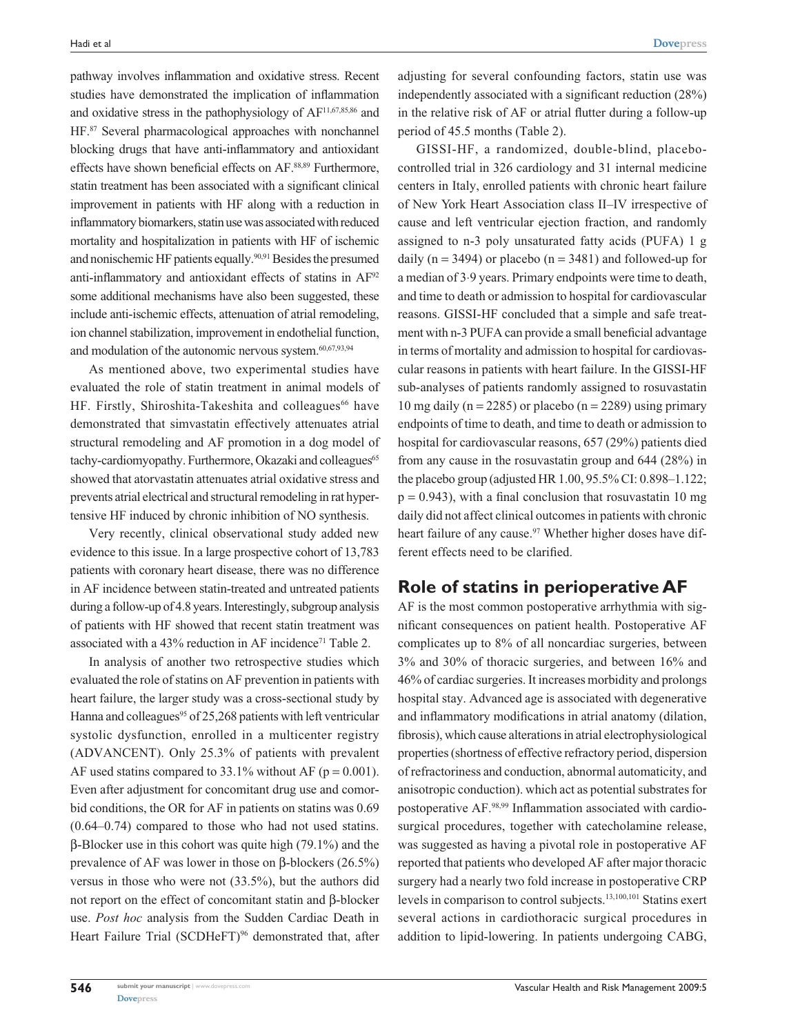pathway involves inflammation and oxidative stress. Recent studies have demonstrated the implication of inflammation and oxidative stress in the pathophysiology of  $AF^{11,67,85,86}$  and HF.87 Several pharmacological approaches with nonchannel blocking drugs that have anti-inflammatory and antioxidant effects have shown beneficial effects on AF.<sup>88,89</sup> Furthermore, statin treatment has been associated with a significant clinical improvement in patients with HF along with a reduction in inflammatory biomarkers, statin use was associated with reduced mortality and hospitalization in patients with HF of ischemic and nonischemic HF patients equally.<sup>90,91</sup> Besides the presumed anti-inflammatory and antioxidant effects of statins in AF92 some additional mechanisms have also been suggested, these include anti-ischemic effects, attenuation of atrial remodeling, ion channel stabilization, improvement in endothelial function, and modulation of the autonomic nervous system.<sup>60,67,93,94</sup>

As mentioned above, two experimental studies have evaluated the role of statin treatment in animal models of HF. Firstly, Shiroshita-Takeshita and colleagues<sup>66</sup> have demonstrated that simvastatin effectively attenuates atrial structural remodeling and AF promotion in a dog model of tachy-cardiomyopathy. Furthermore, Okazaki and colleagues<sup>65</sup> showed that atorvastatin attenuates atrial oxidative stress and prevents atrial electrical and structural remodeling in rat hypertensive HF induced by chronic inhibition of NO synthesis.

Very recently, clinical observational study added new evidence to this issue. In a large prospective cohort of 13,783 patients with coronary heart disease, there was no difference in AF incidence between statin-treated and untreated patients during a follow-up of 4.8 years. Interestingly, subgroup analysis of patients with HF showed that recent statin treatment was associated with a 43% reduction in AF incidence<sup>71</sup> Table 2.

In analysis of another two retrospective studies which evaluated the role of statins on AF prevention in patients with heart failure, the larger study was a cross-sectional study by Hanna and colleagues<sup>95</sup> of 25,268 patients with left ventricular systolic dysfunction, enrolled in a multicenter registry (ADVANCENT). Only 25.3% of patients with prevalent AF used statins compared to 33.1% without AF ( $p = 0.001$ ). Even after adjustment for concomitant drug use and comorbid conditions, the OR for AF in patients on statins was 0.69 (0.64–0.74) compared to those who had not used statins. β-Blocker use in this cohort was quite high (79.1%) and the prevalence of AF was lower in those on β-blockers (26.5%) versus in those who were not (33.5%), but the authors did not report on the effect of concomitant statin and β-blocker use. *Post hoc* analysis from the Sudden Cardiac Death in Heart Failure Trial (SCDHeFT)<sup>96</sup> demonstrated that, after

adjusting for several confounding factors, statin use was independently associated with a significant reduction (28%) in the relative risk of AF or atrial flutter during a follow-up period of 45.5 months (Table 2).

GISSI-HF, a randomized, double-blind, placebocontrolled trial in 326 cardiology and 31 internal medicine centers in Italy, enrolled patients with chronic heart failure of New York Heart Association class II–IV irrespective of cause and left ventricular ejection fraction, and randomly assigned to n-3 poly unsaturated fatty acids (PUFA) 1 g daily ( $n = 3494$ ) or placebo ( $n = 3481$ ) and followed-up for a median of 3⋅9 years. Primary endpoints were time to death, and time to death or admission to hospital for cardiovascular reasons. GISSI-HF concluded that a simple and safe treatment with n-3 PUFA can provide a small beneficial advantage in terms of mortality and admission to hospital for cardiovascular reasons in patients with heart failure. In the GISSI-HF sub-analyses of patients randomly assigned to rosuvastatin 10 mg daily (n = 2285) or placebo (n = 2289) using primary endpoints of time to death, and time to death or admission to hospital for cardiovascular reasons, 657 (29%) patients died from any cause in the rosuvastatin group and 644 (28%) in the placebo group (adjusted HR 1.00, 95.5% CI: 0.898–1.122;  $p = 0.943$ , with a final conclusion that rosuvastatin 10 mg daily did not affect clinical outcomes in patients with chronic heart failure of any cause.<sup>97</sup> Whether higher doses have different effects need to be clarified.

#### **Role of statins in perioperative AF**

AF is the most common postoperative arrhythmia with significant consequences on patient health. Postoperative AF complicates up to 8% of all noncardiac surgeries, between 3% and 30% of thoracic surgeries, and between 16% and 46% of cardiac surgeries. It increases morbidity and prolongs hospital stay. Advanced age is associated with degenerative and inflammatory modifications in atrial anatomy (dilation, fibrosis), which cause alterations in atrial electrophysiological properties (shortness of effective refractory period, dispersion of refractoriness and conduction, abnormal automaticity, and anisotropic conduction). which act as potential substrates for postoperative AF.98,99 Inflammation associated with cardiosurgical procedures, together with catecholamine release, was suggested as having a pivotal role in postoperative AF reported that patients who developed AF after major thoracic surgery had a nearly two fold increase in postoperative CRP levels in comparison to control subjects.13,100,101 Statins exert several actions in cardiothoracic surgical procedures in addition to lipid-lowering. In patients undergoing CABG,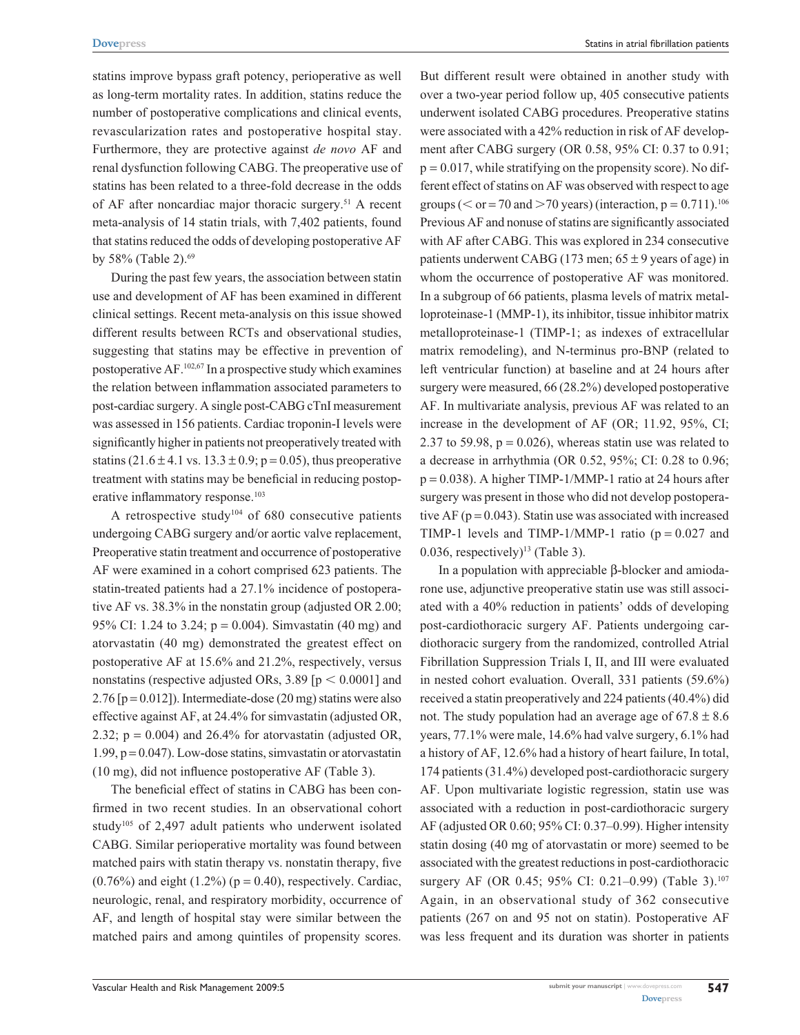statins improve bypass graft potency, perioperative as well as long-term mortality rates. In addition, statins reduce the number of postoperative complications and clinical events, revascularization rates and postoperative hospital stay. Furthermore, they are protective against *de novo* AF and renal dysfunction following CABG. The preoperative use of statins has been related to a three-fold decrease in the odds of AF after noncardiac major thoracic surgery.51 A recent meta-analysis of 14 statin trials, with 7,402 patients, found that statins reduced the odds of developing postoperative AF by 58% (Table 2).<sup>69</sup>

During the past few years, the association between statin use and development of AF has been examined in different clinical settings. Recent meta-analysis on this issue showed different results between RCTs and observational studies, suggesting that statins may be effective in prevention of postoperative AF.102,67 In a prospective study which examines the relation between inflammation associated parameters to post-cardiac surgery. A single post-CABG cTnI measurement was assessed in 156 patients. Cardiac troponin-I levels were significantly higher in patients not preoperatively treated with statins (21.6  $\pm$  4.1 vs. 13.3  $\pm$  0.9; p = 0.05), thus preoperative treatment with statins may be beneficial in reducing postoperative inflammatory response.<sup>103</sup>

A retrospective study<sup>104</sup> of 680 consecutive patients undergoing CABG surgery and/or aortic valve replacement, Preoperative statin treatment and occurrence of postoperative AF were examined in a cohort comprised 623 patients. The statin-treated patients had a 27.1% incidence of postoperative AF vs. 38.3% in the nonstatin group (adjusted OR 2.00; 95% CI: 1.24 to 3.24;  $p = 0.004$ ). Simvastatin (40 mg) and atorvastatin (40 mg) demonstrated the greatest effect on postoperative AF at 15.6% and 21.2%, respectively, versus nonstatins (respective adjusted ORs, 3.89 [ $p < 0.0001$ ] and 2.76 [ $p = 0.012$ ]). Intermediate-dose (20 mg) statins were also effective against AF, at 24.4% for simvastatin (adjusted OR, 2.32;  $p = 0.004$ ) and 26.4% for atorvastatin (adjusted OR, 1.99,  $p = 0.047$ ). Low-dose statins, simvastatin or atorvastatin (10 mg), did not influence postoperative AF (Table 3).

The beneficial effect of statins in CABG has been confirmed in two recent studies. In an observational cohort study<sup>105</sup> of 2,497 adult patients who underwent isolated CABG. Similar perioperative mortality was found between matched pairs with statin therapy vs. nonstatin therapy, five  $(0.76\%)$  and eight  $(1.2\%)$  ( $p = 0.40$ ), respectively. Cardiac, neurologic, renal, and respiratory morbidity, occurrence of AF, and length of hospital stay were similar between the matched pairs and among quintiles of propensity scores.

But different result were obtained in another study with over a two-year period follow up, 405 consecutive patients underwent isolated CABG procedures. Preoperative statins were associated with a 42% reduction in risk of AF development after CABG surgery (OR 0.58, 95% CI: 0.37 to 0.91;  $p = 0.017$ , while stratifying on the propensity score). No different effect of statins on AF was observed with respect to age groups ( $\le$  or = 70 and  $>$  70 years) (interaction, p = 0.711).<sup>106</sup> Previous AF and nonuse of statins are significantly associated with AF after CABG. This was explored in 234 consecutive patients underwent CABG (173 men;  $65 \pm 9$  years of age) in whom the occurrence of postoperative AF was monitored. In a subgroup of 66 patients, plasma levels of matrix metalloproteinase-1 (MMP-1), its inhibitor, tissue inhibitor matrix metalloproteinase-1 (TIMP-1; as indexes of extracellular matrix remodeling), and N-terminus pro-BNP (related to left ventricular function) at baseline and at 24 hours after surgery were measured, 66 (28.2%) developed postoperative AF. In multivariate analysis, previous AF was related to an increase in the development of AF (OR; 11.92, 95%, CI; 2.37 to 59.98,  $p = 0.026$ ), whereas statin use was related to a decrease in arrhythmia (OR 0.52, 95%; CI: 0.28 to 0.96;  $p = 0.038$ ). A higher TIMP-1/MMP-1 ratio at 24 hours after surgery was present in those who did not develop postoperative AF ( $p = 0.043$ ). Statin use was associated with increased TIMP-1 levels and TIMP-1/MMP-1 ratio ( $p = 0.027$  and 0.036, respectively)<sup>13</sup> (Table 3).

In a population with appreciable  $\beta$ -blocker and amiodarone use, adjunctive preoperative statin use was still associated with a 40% reduction in patients' odds of developing post-cardiothoracic surgery AF. Patients undergoing cardiothoracic surgery from the randomized, controlled Atrial Fibrillation Suppression Trials I, II, and III were evaluated in nested cohort evaluation. Overall, 331 patients (59.6%) received a statin preoperatively and 224 patients (40.4%) did not. The study population had an average age of  $67.8 \pm 8.6$ years, 77.1% were male, 14.6% had valve surgery, 6.1% had a history of AF, 12.6% had a history of heart failure, In total, 174 patients (31.4%) developed post-cardiothoracic surgery AF. Upon multivariate logistic regression, statin use was associated with a reduction in post-cardiothoracic surgery AF (adjusted OR 0.60; 95% CI: 0.37–0.99). Higher intensity statin dosing (40 mg of atorvastatin or more) seemed to be associated with the greatest reductions in post-cardiothoracic surgery AF (OR 0.45; 95% CI: 0.21–0.99) (Table 3).<sup>107</sup> Again, in an observational study of 362 consecutive patients (267 on and 95 not on statin). Postoperative AF was less frequent and its duration was shorter in patients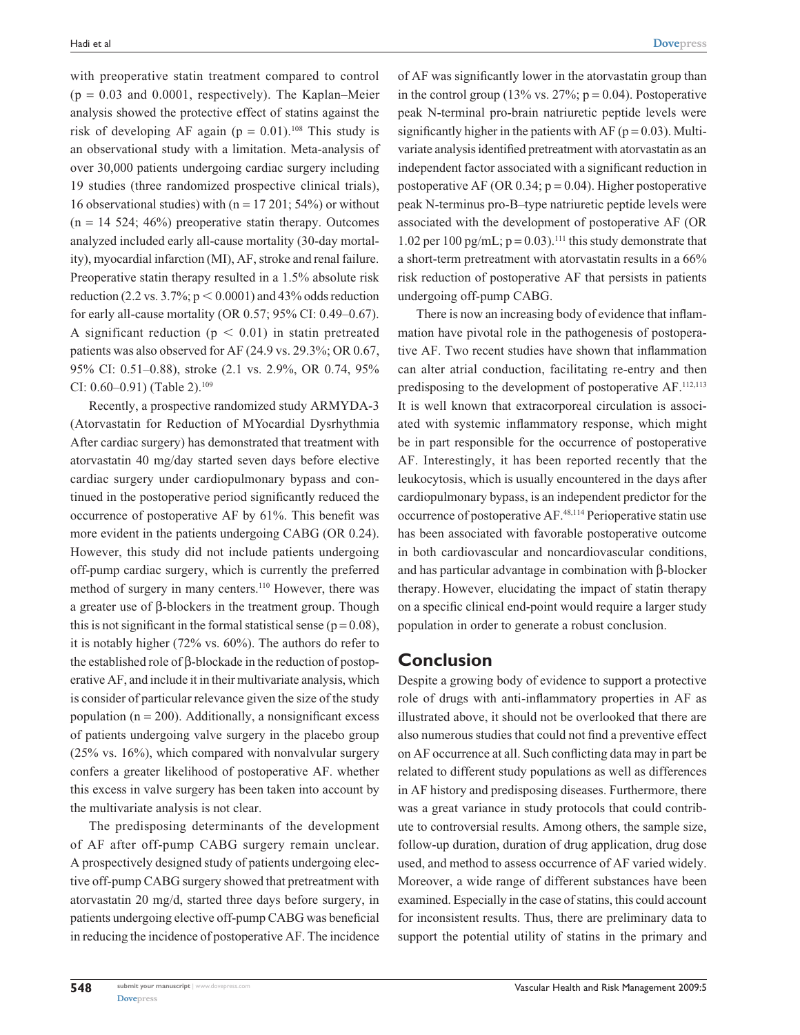with preoperative statin treatment compared to control  $(p = 0.03$  and 0.0001, respectively). The Kaplan–Meier analysis showed the protective effect of statins against the risk of developing AF again ( $p = 0.01$ ).<sup>108</sup> This study is an observational study with a limitation. Meta-analysis of over 30,000 patients undergoing cardiac surgery including 19 studies (three randomized prospective clinical trials), 16 observational studies) with  $(n = 17201; 54\%)$  or without  $(n = 14524; 46%)$  preoperative statin therapy. Outcomes analyzed included early all-cause mortality (30-day mortality), myocardial infarction (MI), AF, stroke and renal failure. Preoperative statin therapy resulted in a 1.5% absolute risk reduction (2.2 vs.  $3.7\%$ ;  $p < 0.0001$ ) and 43% odds reduction for early all-cause mortality (OR 0.57; 95% CI: 0.49–0.67). A significant reduction ( $p < 0.01$ ) in statin pretreated patients was also observed for AF (24.9 vs. 29.3%; OR 0.67, 95% CI: 0.51–0.88), stroke (2.1 vs. 2.9%, OR 0.74, 95% CI: 0.60–0.91) (Table 2).109

Recently, a prospective randomized study ARMYDA-3 (Atorvastatin for Reduction of MYocardial Dysrhythmia After cardiac surgery) has demonstrated that treatment with atorvastatin 40 mg/day started seven days before elective cardiac surgery under cardiopulmonary bypass and continued in the postoperative period significantly reduced the occurrence of postoperative AF by 61%. This benefit was more evident in the patients undergoing CABG (OR 0.24). However, this study did not include patients undergoing off-pump cardiac surgery, which is currently the preferred method of surgery in many centers.<sup>110</sup> However, there was a greater use of β-blockers in the treatment group. Though this is not significant in the formal statistical sense ( $p = 0.08$ ), it is notably higher (72% vs. 60%). The authors do refer to the established role of  $\beta$ -blockade in the reduction of postoperative AF, and include it in their multivariate analysis, which is consider of particular relevance given the size of the study population ( $n = 200$ ). Additionally, a nonsignificant excess of patients undergoing valve surgery in the placebo group (25% vs. 16%), which compared with nonvalvular surgery confers a greater likelihood of postoperative AF. whether this excess in valve surgery has been taken into account by the multivariate analysis is not clear.

The predisposing determinants of the development of AF after off-pump CABG surgery remain unclear. A prospectively designed study of patients undergoing elective off-pump CABG surgery showed that pretreatment with atorvastatin 20 mg/d, started three days before surgery, in patients undergoing elective off-pump CABG was beneficial in reducing the incidence of postoperative AF. The incidence of AF was significantly lower in the atorvastatin group than in the control group (13% vs. 27%;  $p = 0.04$ ). Postoperative peak N-terminal pro-brain natriuretic peptide levels were significantly higher in the patients with AF ( $p = 0.03$ ). Multivariate analysis identified pretreatment with atorvastatin as an independent factor associated with a significant reduction in postoperative AF (OR 0.34;  $p = 0.04$ ). Higher postoperative peak N-terminus pro-B–type natriuretic peptide levels were associated with the development of postoperative AF (OR 1.02 per 100 pg/mL;  $p = 0.03$ ).<sup>111</sup> this study demonstrate that a short-term pretreatment with atorvastatin results in a 66% risk reduction of postoperative AF that persists in patients undergoing off-pump CABG.

There is now an increasing body of evidence that inflammation have pivotal role in the pathogenesis of postoperative AF. Two recent studies have shown that inflammation can alter atrial conduction, facilitating re-entry and then predisposing to the development of postoperative AF.112,113 It is well known that extracorporeal circulation is associated with systemic inflammatory response, which might be in part responsible for the occurrence of postoperative AF. Interestingly, it has been reported recently that the leukocytosis, which is usually encountered in the days after cardiopulmonary bypass, is an independent predictor for the occurrence of postoperative AF.48,114 Perioperative statin use has been associated with favorable postoperative outcome in both cardiovascular and noncardiovascular conditions, and has particular advantage in combination with  $\beta$ -blocker therapy. However, elucidating the impact of statin therapy on a specific clinical end-point would require a larger study population in order to generate a robust conclusion.

#### **Conclusion**

Despite a growing body of evidence to support a protective role of drugs with anti-inflammatory properties in AF as illustrated above, it should not be overlooked that there are also numerous studies that could not find a preventive effect on AF occurrence at all. Such conflicting data may in part be related to different study populations as well as differences in AF history and predisposing diseases. Furthermore, there was a great variance in study protocols that could contribute to controversial results. Among others, the sample size, follow-up duration, duration of drug application, drug dose used, and method to assess occurrence of AF varied widely. Moreover, a wide range of different substances have been examined. Especially in the case of statins, this could account for inconsistent results. Thus, there are preliminary data to support the potential utility of statins in the primary and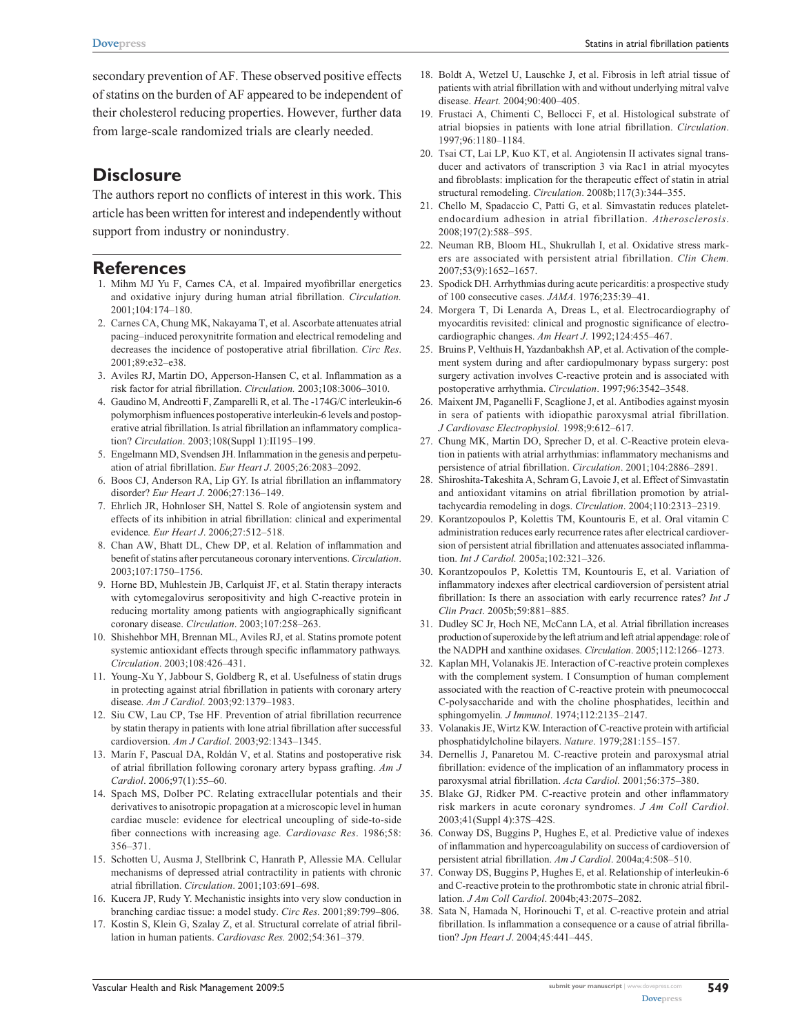secondary prevention of AF. These observed positive effects of statins on the burden of AF appeared to be independent of their cholesterol reducing properties. However, further data from large-scale randomized trials are clearly needed.

# **Disclosure**

The authors report no conflicts of interest in this work. This article has been written for interest and independently without support from industry or nonindustry.

## **References**

- 1. Mihm MJ Yu F, Carnes CA, et al. Impaired myofibrillar energetics and oxidative injury during human atrial fibrillation. *Circulation.* 2001;104:174–180.
- 2. Carnes CA, Chung MK, Nakayama T, et al. Ascorbate attenuates atrial pacing–induced peroxynitrite formation and electrical remodeling and decreases the incidence of postoperative atrial fibrillation. *Circ Res*. 2001;89:e32–e38.
- 3. Aviles RJ, Martin DO, Apperson-Hansen C, et al. Inflammation as a risk factor for atrial fibrillation. *Circulation.* 2003;108:3006–3010.
- 4. Gaudino M, Andreotti F, Zamparelli R, et al. The -174G/C interleukin-6 polymorphism influences postoperative interleukin-6 levels and postoperative atrial fibrillation. Is atrial fibrillation an inflammatory complication? *Circulation*. 2003;108(Suppl 1):II195–199.
- 5. Engelmann MD, Svendsen JH. Inflammation in the genesis and perpetuation of atrial fibrillation. *Eur Heart J*. 2005;26:2083–2092.
- 6. Boos CJ, Anderson RA, Lip GY. Is atrial fibrillation an inflammatory disorder? *Eur Heart J*. 2006;27:136–149.
- 7. Ehrlich JR, Hohnloser SH, Nattel S. Role of angiotensin system and effects of its inhibition in atrial fibrillation: clinical and experimental evidence*. Eur Heart J*. 2006;27:512–518.
- 8. Chan AW, Bhatt DL, Chew DP, et al. Relation of inflammation and benefit of statins after percutaneous coronary interventions. *Circulation*. 2003;107:1750–1756.
- 9. Horne BD, Muhlestein JB, Carlquist JF, et al. Statin therapy interacts with cytomegalovirus seropositivity and high C-reactive protein in reducing mortality among patients with angiographically significant coronary disease. *Circulation*. 2003;107:258–263.
- 10. Shishehbor MH, Brennan ML, Aviles RJ, et al. Statins promote potent systemic antioxidant effects through specific inflammatory pathways*. Circulation*. 2003;108:426–431.
- 11. Young-Xu Y, Jabbour S, Goldberg R, et al. Usefulness of statin drugs in protecting against atrial fibrillation in patients with coronary artery disease. *Am J Cardiol*. 2003;92:1379–1983.
- 12. Siu CW, Lau CP, Tse HF. Prevention of atrial fibrillation recurrence by statin therapy in patients with lone atrial fibrillation after successful cardioversion. *Am J Cardiol*. 2003;92:1343–1345.
- 13. Marín F, Pascual DA, Roldán V, et al. Statins and postoperative risk of atrial fibrillation following coronary artery bypass grafting. *Am J Cardiol*. 2006;97(1):55–60.
- 14. Spach MS, Dolber PC. Relating extracellular potentials and their derivatives to anisotropic propagation at a microscopic level in human cardiac muscle: evidence for electrical uncoupling of side-to-side fiber connections with increasing age*. Cardiovasc Res*. 1986;58: 356–371.
- 15. Schotten U, Ausma J, Stellbrink C, Hanrath P, Allessie MA. Cellular mechanisms of depressed atrial contractility in patients with chronic atrial fibrillation. *Circulation*. 2001;103:691–698.
- 16. Kucera JP, Rudy Y. Mechanistic insights into very slow conduction in branching cardiac tissue: a model study. *Circ Res.* 2001;89:799–806.
- 17. Kostin S, Klein G, Szalay Z, et al. Structural correlate of atrial fibrillation in human patients. *Cardiovasc Res.* 2002;54:361–379.
- 18. Boldt A, Wetzel U, Lauschke J, et al. Fibrosis in left atrial tissue of patients with atrial fibrillation with and without underlying mitral valve disease. *Heart.* 2004;90:400–405.
- 19. Frustaci A, Chimenti C, Bellocci F, et al. Histological substrate of atrial biopsies in patients with lone atrial fibrillation. *Circulation*. 1997;96:1180–1184.
- 20. Tsai CT, Lai LP, Kuo KT, et al. Angiotensin II activates signal transducer and activators of transcription 3 via Rac1 in atrial myocytes and fibroblasts: implication for the therapeutic effect of statin in atrial structural remodeling. *Circulation*. 2008b;117(3):344–355.
- 21. Chello M, Spadaccio C, Patti G, et al. Simvastatin reduces plateletendocardium adhesion in atrial fibrillation. *Atherosclerosis*. 2008;197(2):588–595.
- 22. Neuman RB, Bloom HL, Shukrullah I, et al. Oxidative stress markers are associated with persistent atrial fibrillation. *Clin Chem.* 2007;53(9):1652–1657.
- 23. Spodick DH. Arrhythmias during acute pericarditis: a prospective study of 100 consecutive cases. *JAMA*. 1976;235:39–41.
- 24. Morgera T, Di Lenarda A, Dreas L, et al. Electrocardiography of myocarditis revisited: clinical and prognostic significance of electrocardiographic changes. *Am Heart J*. 1992;124:455–467.
- 25. Bruins P, Velthuis H, Yazdanbakhsh AP, et al. Activation of the complement system during and after cardiopulmonary bypass surgery: post surgery activation involves C-reactive protein and is associated with postoperative arrhythmia. *Circulation*. 1997;96:3542–3548.
- 26. Maixent JM, Paganelli F, Scaglione J, et al. Antibodies against myosin in sera of patients with idiopathic paroxysmal atrial fibrillation. *J Cardiovasc Electrophysiol.* 1998;9:612–617.
- 27. Chung MK, Martin DO, Sprecher D, et al. C-Reactive protein elevation in patients with atrial arrhythmias: inflammatory mechanisms and persistence of atrial fibrillation. *Circulation*. 2001;104:2886–2891.
- 28. Shiroshita-Takeshita A, Schram G, Lavoie J, et al. Effect of Simvastatin and antioxidant vitamins on atrial fibrillation promotion by atrialtachycardia remodeling in dogs. *Circulation*. 2004;110:2313–2319.
- 29. Korantzopoulos P, Kolettis TM, Kountouris E, et al. Oral vitamin C administration reduces early recurrence rates after electrical cardioversion of persistent atrial fibrillation and attenuates associated inflammation. *Int J Cardiol.* 2005a;102:321–326.
- 30. Korantzopoulos P, Kolettis TM, Kountouris E, et al. Variation of inflammatory indexes after electrical cardioversion of persistent atrial fibrillation: Is there an association with early recurrence rates? *Int J Clin Pract*. 2005b;59:881–885.
- 31. Dudley SC Jr, Hoch NE, McCann LA, et al. Atrial fibrillation increases production of superoxide by the left atrium and left atrial appendage: role of the NADPH and xanthine oxidases. *Circulation*. 2005;112:1266–1273.
- 32. Kaplan MH, Volanakis JE. Interaction of C-reactive protein complexes with the complement system. I Consumption of human complement associated with the reaction of C-reactive protein with pneumococcal C-polysaccharide and with the choline phosphatides, lecithin and sphingomyelin*. J Immunol*. 1974;112:2135–2147.
- 33. Volanakis JE, Wirtz KW. Interaction of C-reactive protein with artificial phosphatidylcholine bilayers. *Nature*. 1979;281:155–157.
- 34. Dernellis J, Panaretou M. C-reactive protein and paroxysmal atrial fibrillation: evidence of the implication of an inflammatory process in paroxysmal atrial fibrillation. *Acta Cardiol.* 2001;56:375–380.
- 35. Blake GJ, Ridker PM. C-reactive protein and other inflammatory risk markers in acute coronary syndromes. *J Am Coll Cardiol*. 2003;41(Suppl 4):37S–42S.
- 36. Conway DS, Buggins P, Hughes E, et al. Predictive value of indexes of inflammation and hypercoagulability on success of cardioversion of persistent atrial fibrillation. *Am J Cardiol*. 2004a;4:508–510.
- 37. Conway DS, Buggins P, Hughes E, et al. Relationship of interleukin-6 and C-reactive protein to the prothrombotic state in chronic atrial fibrillation. *J Am Coll Cardiol*. 2004b;43:2075–2082.
- 38. Sata N, Hamada N, Horinouchi T, et al. C-reactive protein and atrial fibrillation. Is inflammation a consequence or a cause of atrial fibrillation? *Jpn Heart J*. 2004;45:441–445.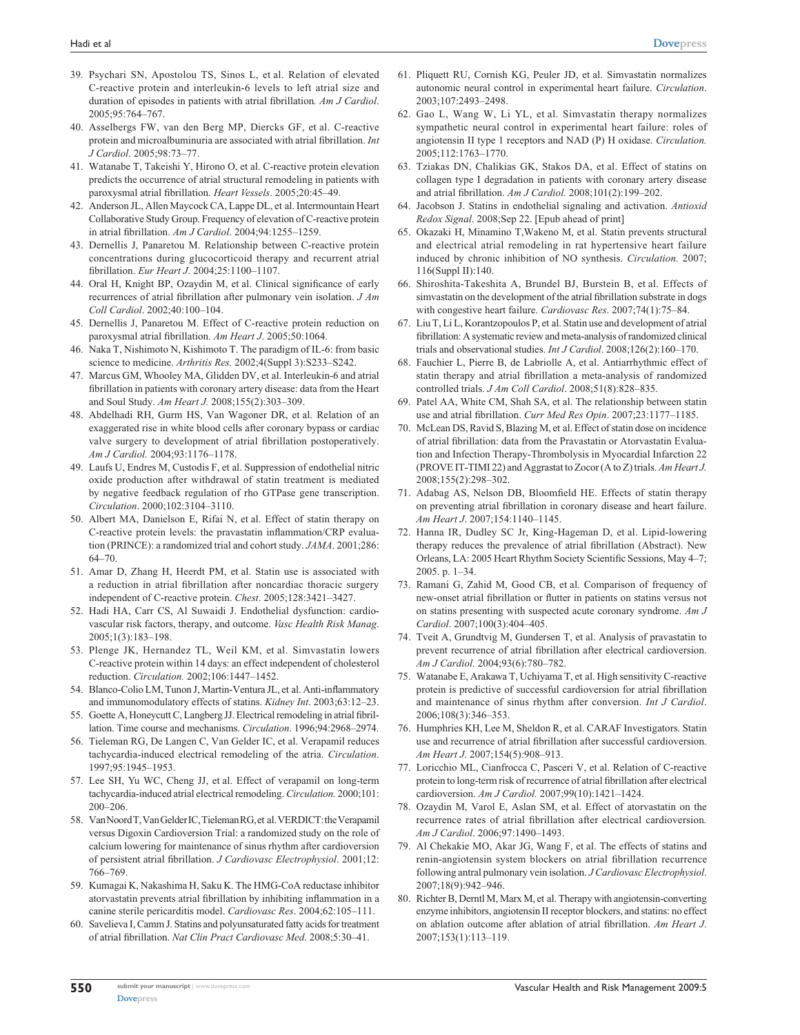- 39. Psychari SN, Apostolou TS, Sinos L, et al. Relation of elevated C-reactive protein and interleukin-6 levels to left atrial size and duration of episodes in patients with atrial fibrillation*. Am J Cardiol*. 2005;95:764–767.
- 40. Asselbergs FW, van den Berg MP, Diercks GF, et al. C-reactive protein and microalbuminuria are associated with atrial fibrillation. *Int J Cardiol*. 2005;98:73–77.
- 41. Watanabe T, Takeishi Y, Hirono O, et al. C-reactive protein elevation predicts the occurrence of atrial structural remodeling in patients with paroxysmal atrial fibrillation. *Heart Vessels*. 2005;20:45–49.
- 42. Anderson JL, Allen Maycock CA, Lappe DL, et al. Intermountain Heart Collaborative Study Group. Frequency of elevation of C-reactive protein in atrial fibrillation. *Am J Cardiol*. 2004;94:1255–1259.
- 43. Dernellis J, Panaretou M. Relationship between C-reactive protein concentrations during glucocorticoid therapy and recurrent atrial fibrillation. *Eur Heart J*. 2004;25:1100–1107.
- 44. Oral H, Knight BP, Ozaydin M, et al. Clinical significance of early recurrences of atrial fibrillation after pulmonary vein isolation. *J Am Coll Cardiol*. 2002;40:100–104.
- 45. Dernellis J, Panaretou M. Effect of C-reactive protein reduction on paroxysmal atrial fibrillation. *Am Heart J*. 2005;50:1064.
- 46. Naka T, Nishimoto N, Kishimoto T. The paradigm of IL-6: from basic science to medicine. *Arthritis Res.* 2002;4(Suppl 3):S233–S242.
- 47. Marcus GM, Whooley MA, Glidden DV, et al. Interleukin-6 and atrial fibrillation in patients with coronary artery disease: data from the Heart and Soul Study. *Am Heart J.* 2008;155(2):303–309.
- 48. Abdelhadi RH, Gurm HS, Van Wagoner DR, et al. Relation of an exaggerated rise in white blood cells after coronary bypass or cardiac valve surgery to development of atrial fibrillation postoperatively. *Am J Cardiol.* 2004;93:1176–1178.
- 49. Laufs U, Endres M, Custodis F, et al. Suppression of endothelial nitric oxide production after withdrawal of statin treatment is mediated by negative feedback regulation of rho GTPase gene transcription. *Circulation*. 2000;102:3104–3110.
- 50. Albert MA, Danielson E, Rifai N, et al. Effect of statin therapy on C-reactive protein levels: the pravastatin inflammation/CRP evaluation (PRINCE): a randomized trial and cohort study. *JAMA*. 2001;286: 64–70.
- 51. Amar D, Zhang H, Heerdt PM, et al. Statin use is associated with a reduction in atrial fibrillation after noncardiac thoracic surgery independent of C-reactive protein. *Chest*. 2005;128:3421–3427.
- 52. Hadi HA, Carr CS, Al Suwaidi J. Endothelial dysfunction: cardiovascular risk factors, therapy, and outcome. *Vasc Health Risk Manag*. 2005;1(3):183–198.
- 53. Plenge JK, Hernandez TL, Weil KM, et al. Simvastatin lowers C-reactive protein within 14 days: an effect independent of cholesterol reduction. *Circulation.* 2002;106:1447–1452.
- 54. Blanco-Colio LM, Tunon J, Martin-Ventura JL, et al. Anti-inflammatory and immunomodulatory effects of statins. *Kidney Int*. 2003;63:12–23.
- 55. Goette A, Honeycutt C, Langberg JJ. Electrical remodeling in atrial fibrillation. Time course and mechanisms. *Circulation*. 1996;94:2968–2974.
- 56. Tieleman RG, De Langen C, Van Gelder IC, et al. Verapamil reduces tachycardia-induced electrical remodeling of the atria. *Circulation*. 1997;95:1945–1953.
- 57. Lee SH, Yu WC, Cheng JJ, et al. Effect of verapamil on long-term tachycardia-induced atrial electrical remodeling. *Circulation.* 2000;101: 200–206.
- 58. Van Noord T, Van Gelder IC, Tieleman RG, et al. VERDICT: the Verapamil versus Digoxin Cardioversion Trial: a randomized study on the role of calcium lowering for maintenance of sinus rhythm after cardioversion of persistent atrial fibrillation. *J Cardiovasc Electrophysiol*. 2001;12: 766–769.
- 59. Kumagai K, Nakashima H, Saku K. The HMG-CoA reductase inhibitor atorvastatin prevents atrial fibrillation by inhibiting inflammation in a canine sterile pericarditis model. *Cardiovasc Res*. 2004;62:105–111.
- 60. Savelieva I, Camm J. Statins and polyunsaturated fatty acids for treatment of atrial fibrillation. *Nat Clin Pract Cardiovasc Med*. 2008;5:30–41.
- 61. Pliquett RU, Cornish KG, Peuler JD, et al. Simvastatin normalizes autonomic neural control in experimental heart failure. *Circulation*. 2003;107:2493–2498.
- 62. Gao L, Wang W, Li YL, et al. Simvastatin therapy normalizes sympathetic neural control in experimental heart failure: roles of angiotensin II type 1 receptors and NAD (P) H oxidase. *Circulation.* 2005;112:1763–1770.
- 63. Tziakas DN, Chalikias GK, Stakos DA, et al. Effect of statins on collagen type I degradation in patients with coronary artery disease and atrial fibrillation. *Am J Cardiol.* 2008;101(2):199–202.
- 64. Jacobson J. Statins in endothelial signaling and activation. *Antioxid Redox Signal*. 2008;Sep 22. [Epub ahead of print]
- 65. Okazaki H, Minamino T,Wakeno M, et al. Statin prevents structural and electrical atrial remodeling in rat hypertensive heart failure induced by chronic inhibition of NO synthesis. *Circulation.* 2007; 116(Suppl II):140.
- 66. Shiroshita-Takeshita A, Brundel BJ, Burstein B, et al. Effects of simvastatin on the development of the atrial fibrillation substrate in dogs with congestive heart failure. *Cardiovasc Res*. 2007;74(1):75–84.
- 67. Liu T, Li L, Korantzopoulos P, et al. Statin use and development of atrial fibrillation: A systematic review and meta-analysis of randomized clinical trials and observational studies. *Int J Cardiol*. 2008;126(2):160–170.
- 68. Fauchier L, Pierre B, de Labriolle A, et al. Antiarrhythmic effect of statin therapy and atrial fibrillation a meta-analysis of randomized controlled trials. *J Am Coll Cardiol*. 2008;51(8):828–835.
- 69. Patel AA, White CM, Shah SA, et al. The relationship between statin use and atrial fibrillation. *Curr Med Res Opin*. 2007;23:1177–1185.
- 70. McLean DS, Ravid S, Blazing M, et al. Effect of statin dose on incidence of atrial fibrillation: data from the Pravastatin or Atorvastatin Evaluation and Infection Therapy-Thrombolysis in Myocardial Infarction 22 (PROVE IT-TIMI 22) and Aggrastat to Zocor (A to Z) trials. *Am Heart J.* 2008;155(2):298–302.
- 71. Adabag AS, Nelson DB, Bloomfield HE. Effects of statin therapy on preventing atrial fibrillation in coronary disease and heart failure. *Am Heart J*. 2007;154:1140–1145.
- 72. Hanna IR, Dudley SC Jr, King-Hageman D, et al. Lipid-lowering therapy reduces the prevalence of atrial fibrillation (Abstract). New Orleans, LA: 2005 Heart Rhythm Society Scientific Sessions, May 4–7; 2005. p. 1–34.
- 73. Ramani G, Zahid M, Good CB, et al. Comparison of frequency of new-onset atrial fibrillation or flutter in patients on statins versus not on statins presenting with suspected acute coronary syndrome. *Am J Cardiol*. 2007;100(3):404–405.
- 74. Tveit A, Grundtvig M, Gundersen T, et al. Analysis of pravastatin to prevent recurrence of atrial fibrillation after electrical cardioversion. *Am J Cardiol.* 2004;93(6):780–782.
- 75. Watanabe E, Arakawa T, Uchiyama T, et al. High sensitivity C-reactive protein is predictive of successful cardioversion for atrial fibrillation and maintenance of sinus rhythm after conversion. *Int J Cardiol*. 2006;108(3):346–353.
- 76. Humphries KH, Lee M, Sheldon R, et al. CARAF Investigators. Statin use and recurrence of atrial fibrillation after successful cardioversion. *Am Heart J*. 2007;154(5):908–913.
- 77. Loricchio ML, Cianfrocca C, Pasceri V, et al. Relation of C-reactive protein to long-term risk of recurrence of atrial fibrillation after electrical cardioversion. *Am J Cardiol.* 2007;99(10):1421–1424.
- 78. Ozaydin M, Varol E, Aslan SM, et al. Effect of atorvastatin on the recurrence rates of atrial fibrillation after electrical cardioversion*. Am J Cardiol*. 2006;97:1490–1493.
- 79. Al Chekakie MO, Akar JG, Wang F, et al. The effects of statins and renin-angiotensin system blockers on atrial fibrillation recurrence following antral pulmonary vein isolation. *J Cardiovasc Electrophysiol*. 2007;18(9):942–946.
- 80. Richter B, Derntl M, Marx M, et al. Therapy with angiotensin-converting enzyme inhibitors, angiotensin II receptor blockers, and statins: no effect on ablation outcome after ablation of atrial fibrillation. *Am Heart J*. 2007;153(1):113–119.